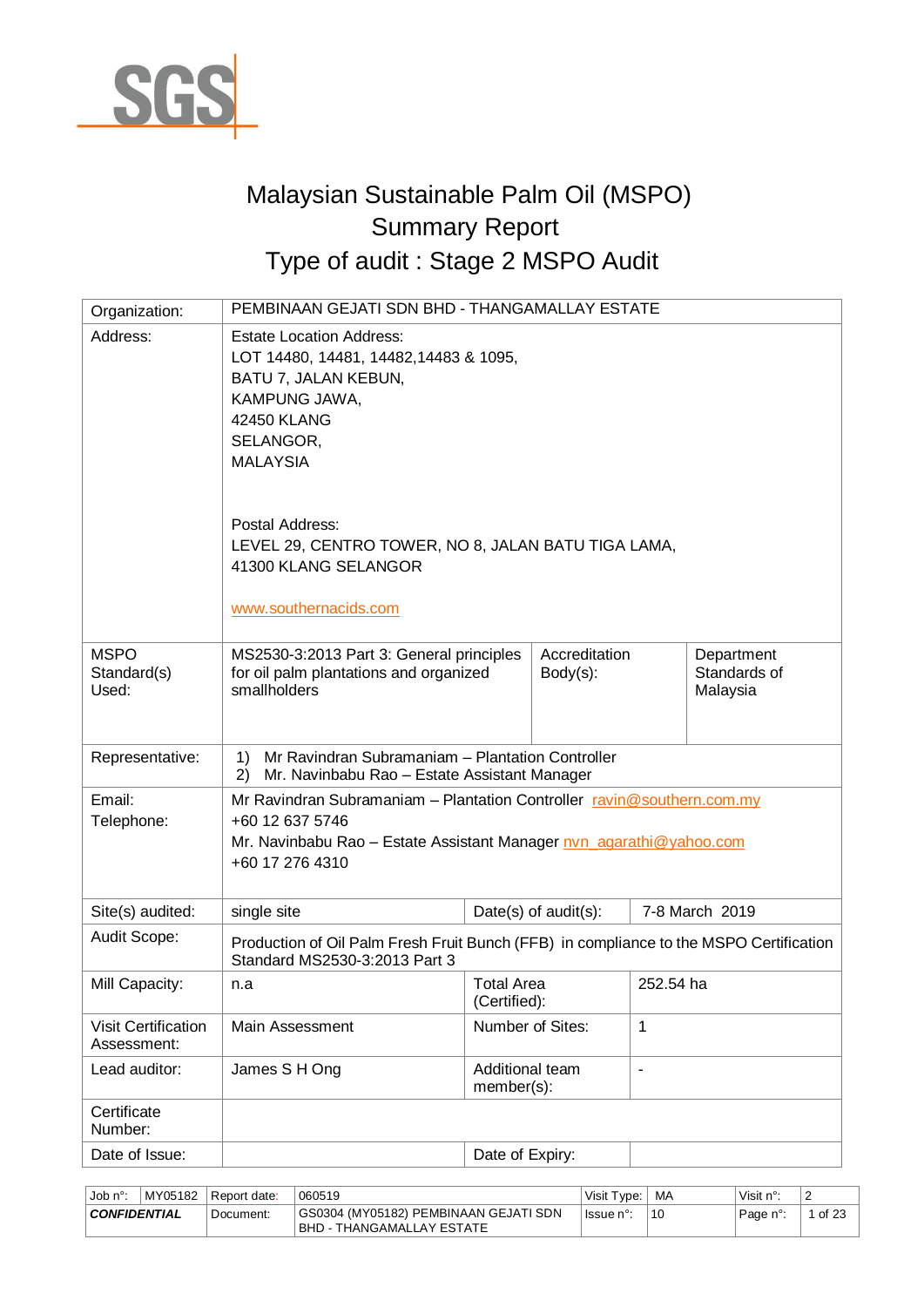

# Malaysian Sustainable Palm Oil (MSPO) Summary Report Type of audit : Stage 2 MSPO Audit

| Organization:                             | PEMBINAAN GEJATI SDN BHD - THANGAMALLAY ESTATE                                                                                                                                      |                                   |                              |                          |                                        |  |  |
|-------------------------------------------|-------------------------------------------------------------------------------------------------------------------------------------------------------------------------------------|-----------------------------------|------------------------------|--------------------------|----------------------------------------|--|--|
| Address:                                  | <b>Estate Location Address:</b><br>LOT 14480, 14481, 14482, 14483 & 1095,<br>BATU 7, JALAN KEBUN,<br>KAMPUNG JAWA,<br>42450 KLANG<br>SELANGOR,<br><b>MALAYSIA</b>                   |                                   |                              |                          |                                        |  |  |
|                                           | Postal Address:<br>LEVEL 29, CENTRO TOWER, NO 8, JALAN BATU TIGA LAMA,<br>41300 KLANG SELANGOR<br>www.southernacids.com                                                             |                                   |                              |                          |                                        |  |  |
| <b>MSPO</b><br>Standard(s)<br>Used:       | MS2530-3:2013 Part 3: General principles<br>for oil palm plantations and organized<br>smallholders                                                                                  |                                   | Accreditation<br>$Body(s)$ : |                          | Department<br>Standards of<br>Malaysia |  |  |
| Representative:                           | Mr Ravindran Subramaniam - Plantation Controller<br>1)<br>Mr. Navinbabu Rao - Estate Assistant Manager<br>(2)                                                                       |                                   |                              |                          |                                        |  |  |
| Email:<br>Telephone:                      | Mr Ravindran Subramaniam - Plantation Controller ravin@southern.com.my<br>+60 12 637 5746<br>Mr. Navinbabu Rao - Estate Assistant Manager nvn agarathi@yahoo.com<br>+60 17 276 4310 |                                   |                              |                          |                                        |  |  |
| Site(s) audited:                          | single site                                                                                                                                                                         |                                   | Date(s) of $audit(s)$ :      |                          | 7-8 March 2019                         |  |  |
| Audit Scope:                              | Production of Oil Palm Fresh Fruit Bunch (FFB) in compliance to the MSPO Certification<br>Standard MS2530-3:2013 Part 3                                                             |                                   |                              |                          |                                        |  |  |
| Mill Capacity:                            | n.a                                                                                                                                                                                 | <b>Total Area</b><br>(Certified): |                              | 252.54 ha                |                                        |  |  |
| <b>Visit Certification</b><br>Assessment: | Main Assessment                                                                                                                                                                     |                                   | Number of Sites:             | 1                        |                                        |  |  |
| Lead auditor:                             | James S H Ong                                                                                                                                                                       | Additional team<br>member(s):     |                              | $\overline{\phantom{a}}$ |                                        |  |  |
| Certificate<br>Number:                    |                                                                                                                                                                                     |                                   |                              |                          |                                        |  |  |
| Date of Issue:                            |                                                                                                                                                                                     | Date of Expiry:                   |                              |                          |                                        |  |  |

| MY05182<br>Job $n^{\circ}$<br>Report date: |           | 060519                                                                | Visit T<br>vpe: | MA | Visit n°: | -                  |
|--------------------------------------------|-----------|-----------------------------------------------------------------------|-----------------|----|-----------|--------------------|
| <b>CONFIDENTIAL</b>                        | Document: | GS0304 (MY05182) PEMBINAAN GEJATI SDN<br>BHD -<br>THANGAMALLAY ESTATE | lssue n°:       | 10 | Page n°:  | $1$ of $2^{\circ}$ |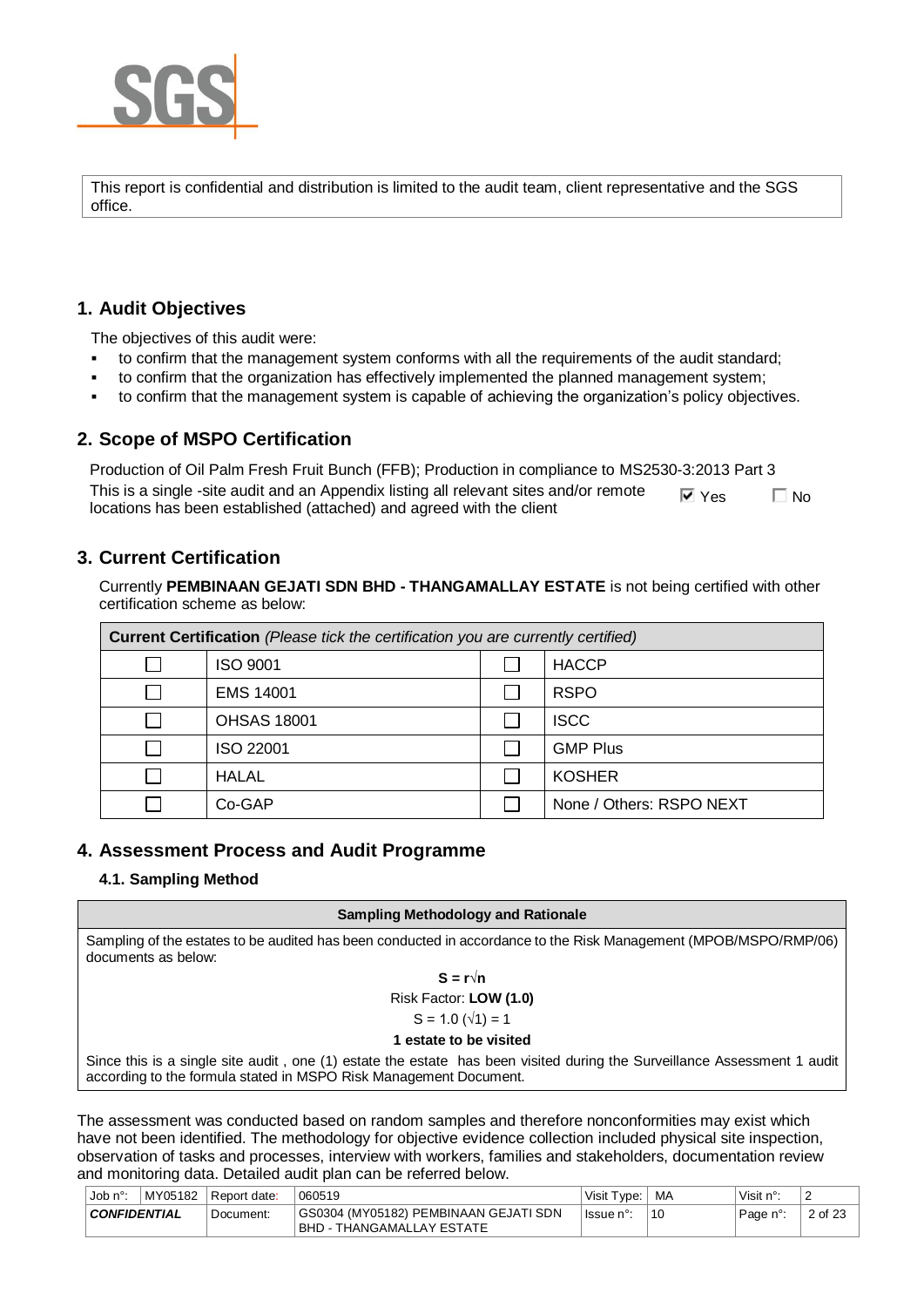

This report is confidential and distribution is limited to the audit team, client representative and the SGS office.

# **1. Audit Objectives**

The objectives of this audit were:

- to confirm that the management system conforms with all the requirements of the audit standard;
- to confirm that the organization has effectively implemented the planned management system;
- to confirm that the management system is capable of achieving the organization's policy objectives.

# **2. Scope of MSPO Certification**

Production of Oil Palm Fresh Fruit Bunch (FFB); Production in compliance to MS2530-3:2013 Part 3 This is a single -site audit and an Appendix listing all relevant sites and/or remote locations has been established (attached) and agreed with the client  $\nabla$  Yes  $\nabla$  No

# **3. Current Certification**

Currently **PEMBINAAN GEJATI SDN BHD - THANGAMALLAY ESTATE** is not being certified with other certification scheme as below:

| <b>Current Certification</b> (Please tick the certification you are currently certified) |                    |  |                          |  |  |  |  |  |
|------------------------------------------------------------------------------------------|--------------------|--|--------------------------|--|--|--|--|--|
|                                                                                          | ISO 9001           |  | <b>HACCP</b>             |  |  |  |  |  |
|                                                                                          | <b>EMS 14001</b>   |  | <b>RSPO</b>              |  |  |  |  |  |
|                                                                                          | <b>OHSAS 18001</b> |  | <b>ISCC</b>              |  |  |  |  |  |
|                                                                                          | ISO 22001          |  | <b>GMP Plus</b>          |  |  |  |  |  |
|                                                                                          | <b>HALAL</b>       |  | <b>KOSHER</b>            |  |  |  |  |  |
|                                                                                          | Co-GAP             |  | None / Others: RSPO NEXT |  |  |  |  |  |

# **4. Assessment Process and Audit Programme**

# **4.1. Sampling Method**

#### **Sampling Methodology and Rationale**

Sampling of the estates to be audited has been conducted in accordance to the Risk Management (MPOB/MSPO/RMP/06) documents as below:

$$
S = r \sqrt{n}
$$
  
Risk Factor: **LOW (1.0)**

$$
S = 1.0 \, (\sqrt{1}) = 1
$$

#### **1 estate to be visited**

Since this is a single site audit , one (1) estate the estate has been visited during the Surveillance Assessment 1 audit according to the formula stated in MSPO Risk Management Document.

The assessment was conducted based on random samples and therefore nonconformities may exist which have not been identified. The methodology for objective evidence collection included physical site inspection, observation of tasks and processes, interview with workers, families and stakeholders, documentation review and monitoring data. Detailed audit plan can be referred below.

| Job $n^{\circ}$<br>MY05182<br>l Report date: |  |           | 060519                                                                  | Visit Type: | MA | Visit n°: | ∠       |
|----------------------------------------------|--|-----------|-------------------------------------------------------------------------|-------------|----|-----------|---------|
| <b>CONFIDENTIAL</b>                          |  | Document: | GS0304 (MY05182) PEMBINAAN GEJATI SDN<br>BHD -<br>- THANGAMALLAY ESTATE | lssue n°    | 10 | Page n°:  | 2 of 23 |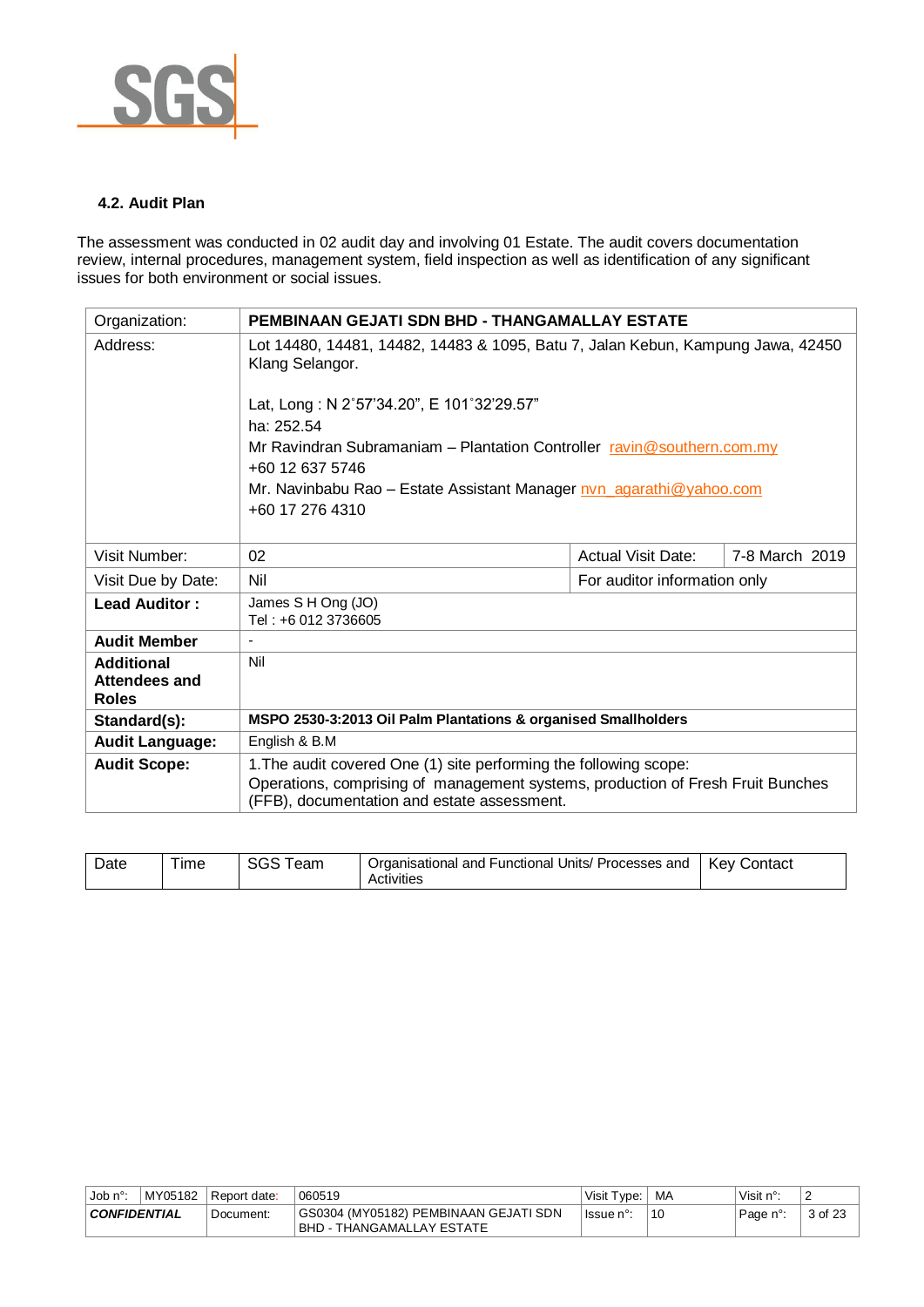

#### **4.2. Audit Plan**

The assessment was conducted in 02 audit day and involving 01 Estate. The audit covers documentation review, internal procedures, management system, field inspection as well as identification of any significant issues for both environment or social issues.

| Organization:                 | <b>PEMBINAAN GEJATI SDN BHD - THANGAMALLAY ESTATE</b>                                                                          |                              |                |  |  |
|-------------------------------|--------------------------------------------------------------------------------------------------------------------------------|------------------------------|----------------|--|--|
| Address:                      | Lot 14480, 14481, 14482, 14483 & 1095, Batu 7, Jalan Kebun, Kampung Jawa, 42450<br>Klang Selangor.                             |                              |                |  |  |
|                               | Lat, Long: N 2°57'34.20", E 101°32'29.57"                                                                                      |                              |                |  |  |
|                               | ha: 252.54                                                                                                                     |                              |                |  |  |
|                               | Mr Ravindran Subramaniam - Plantation Controller ravin@southern.com.my                                                         |                              |                |  |  |
|                               | +60 12 637 5746                                                                                                                |                              |                |  |  |
|                               | Mr. Navinbabu Rao - Estate Assistant Manager nvn_agarathi@yahoo.com                                                            |                              |                |  |  |
|                               | +60 17 276 4310                                                                                                                |                              |                |  |  |
|                               |                                                                                                                                |                              |                |  |  |
| Visit Number:                 | 02                                                                                                                             | <b>Actual Visit Date:</b>    | 7-8 March 2019 |  |  |
| Visit Due by Date:            | Nil                                                                                                                            | For auditor information only |                |  |  |
| <b>Lead Auditor:</b>          | James S H Ong (JO)<br>Tel: +6 012 3736605                                                                                      |                              |                |  |  |
| <b>Audit Member</b>           |                                                                                                                                |                              |                |  |  |
| <b>Additional</b>             | Nil                                                                                                                            |                              |                |  |  |
| Attendees and<br><b>Roles</b> |                                                                                                                                |                              |                |  |  |
| Standard(s):                  | MSPO 2530-3:2013 Oil Palm Plantations & organised Smallholders                                                                 |                              |                |  |  |
| <b>Audit Language:</b>        | English & B.M                                                                                                                  |                              |                |  |  |
| <b>Audit Scope:</b>           | 1. The audit covered One (1) site performing the following scope:                                                              |                              |                |  |  |
|                               | Operations, comprising of management systems, production of Fresh Fruit Bunches<br>(FFB), documentation and estate assessment. |                              |                |  |  |

| --<br>Kev<br>Date<br>I Functional Units/ Processes and<br>Organisational and<br>Contact<br>eam<br>ıme<br>ついこ<br>Activities |  |  |  |  |  |
|----------------------------------------------------------------------------------------------------------------------------|--|--|--|--|--|
|----------------------------------------------------------------------------------------------------------------------------|--|--|--|--|--|

| MY05182<br>⊣Job n°  |  | l Report date: | 060519                                                               | Visit Type: | MA | Visit $n^{\circ}$ : | -      |
|---------------------|--|----------------|----------------------------------------------------------------------|-------------|----|---------------------|--------|
| <b>CONFIDENTIAL</b> |  | Document:      | GS0304 (MY05182) PEMBINAAN GEJATI SDN<br>I BHD - THANGAMALLAY ESTATE | ⊤lssue n°∵  | 10 | Page n°:            | 3 of . |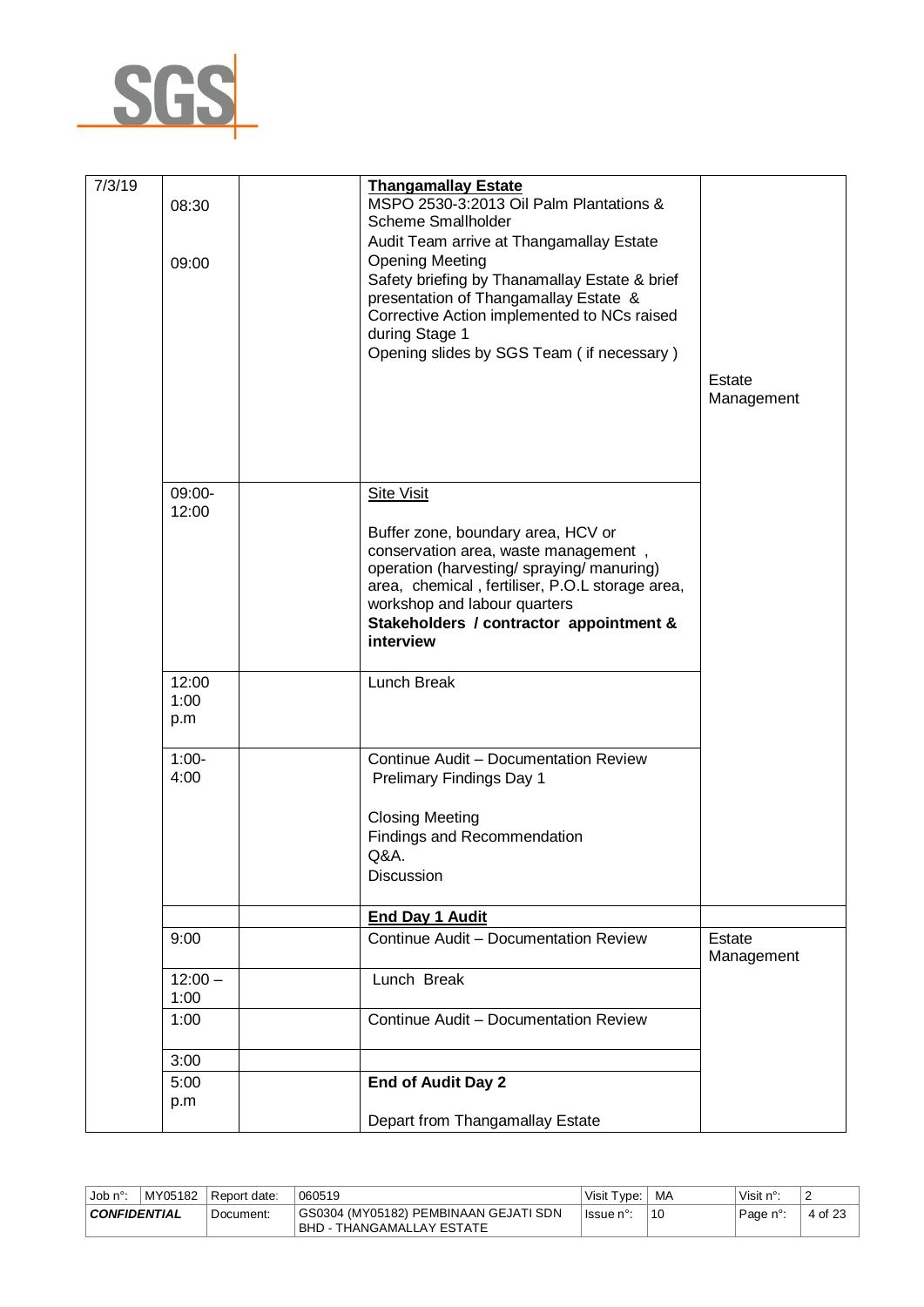

| 7/3/19 | 08:30<br>09:00       | <b>Thangamallay Estate</b><br>MSPO 2530-3:2013 Oil Palm Plantations &<br>Scheme Smallholder<br>Audit Team arrive at Thangamallay Estate<br><b>Opening Meeting</b><br>Safety briefing by Thanamallay Estate & brief<br>presentation of Thangamallay Estate &<br>Corrective Action implemented to NCs raised<br>during Stage 1<br>Opening slides by SGS Team (if necessary) | Estate<br>Management |
|--------|----------------------|---------------------------------------------------------------------------------------------------------------------------------------------------------------------------------------------------------------------------------------------------------------------------------------------------------------------------------------------------------------------------|----------------------|
|        | 09:00-<br>12:00      | <b>Site Visit</b><br>Buffer zone, boundary area, HCV or<br>conservation area, waste management,<br>operation (harvesting/spraying/manuring)<br>area, chemical, fertiliser, P.O.L storage area,<br>workshop and labour quarters<br>Stakeholders / contractor appointment &<br>interview                                                                                    |                      |
|        | 12:00<br>1:00<br>p.m | Lunch Break                                                                                                                                                                                                                                                                                                                                                               |                      |
|        | $1:00-$<br>4:00      | Continue Audit - Documentation Review<br>Prelimary Findings Day 1<br><b>Closing Meeting</b><br><b>Findings and Recommendation</b><br>Q&A.<br><b>Discussion</b>                                                                                                                                                                                                            |                      |
|        |                      | <b>End Day 1 Audit</b>                                                                                                                                                                                                                                                                                                                                                    |                      |
|        | 9:00                 | Continue Audit - Documentation Review                                                                                                                                                                                                                                                                                                                                     | Estate<br>Management |
|        | $12:00 -$<br>1:00    | Lunch Break                                                                                                                                                                                                                                                                                                                                                               |                      |
|        | 1:00                 | Continue Audit - Documentation Review                                                                                                                                                                                                                                                                                                                                     |                      |
|        | 3:00                 |                                                                                                                                                                                                                                                                                                                                                                           |                      |
|        | 5:00<br>p.m          | <b>End of Audit Day 2</b><br>Depart from Thangamallay Estate                                                                                                                                                                                                                                                                                                              |                      |
|        |                      |                                                                                                                                                                                                                                                                                                                                                                           |                      |

| MY05182<br>, Job n°:<br>Report date: |  |           | 060519                                                                    | Visit Tvpe: | MA | Visit n°: | -              |
|--------------------------------------|--|-----------|---------------------------------------------------------------------------|-------------|----|-----------|----------------|
| <b>CONFIDENTIAL</b>                  |  | Document: | GS0304 (MY05182) PEMBINAAN GEJATI SDN<br><b>BHD - THANGAMALLAY ESTATE</b> | lssue n°:   | 10 | Page n°:  | $\sim$<br>4 of |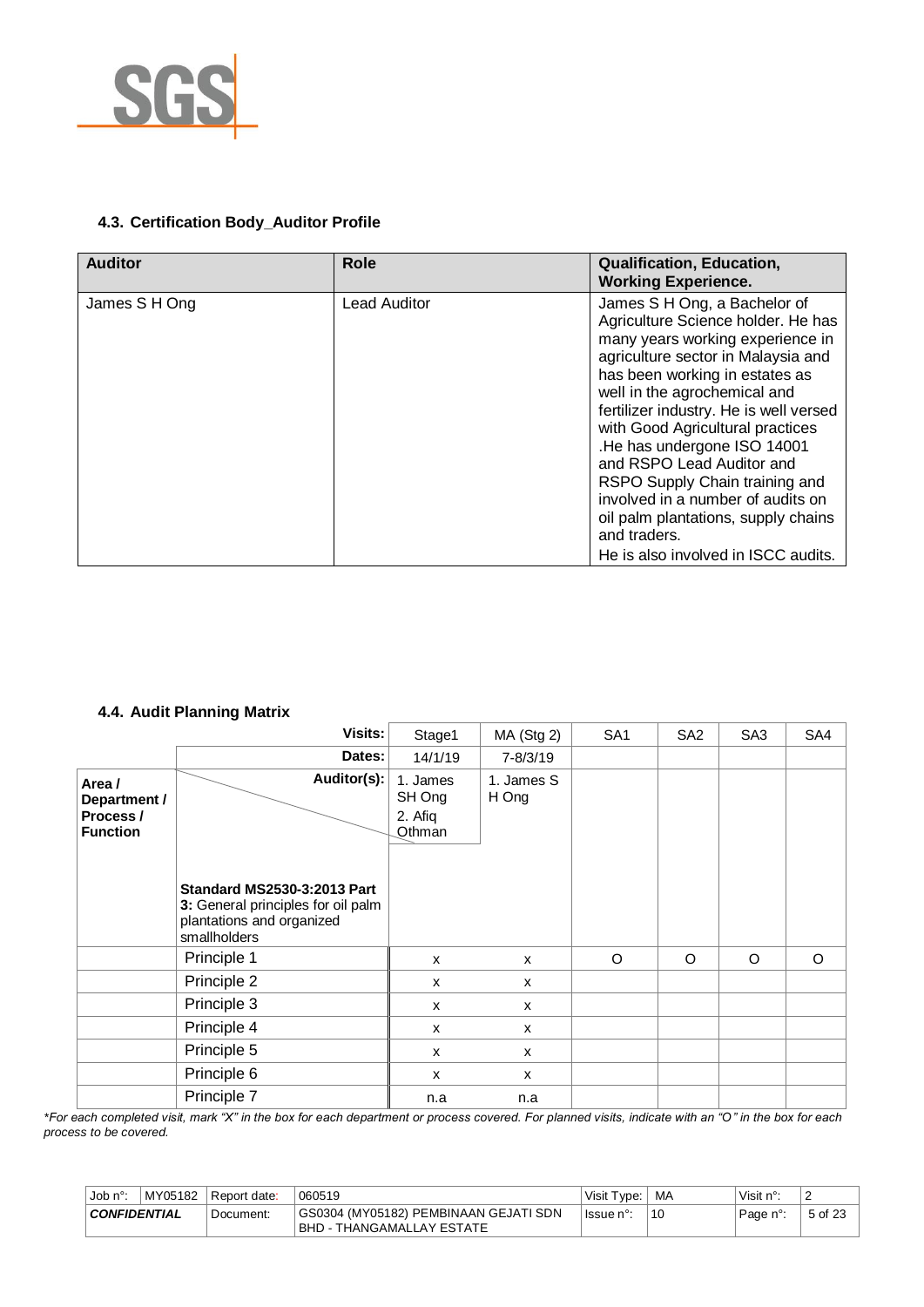

# **4.3. Certification Body\_Auditor Profile**

| <b>Auditor</b> | <b>Role</b>         | <b>Qualification, Education,</b><br><b>Working Experience.</b>                                                                                                                                                                                                                                                                                                                                                                                                                                                                |
|----------------|---------------------|-------------------------------------------------------------------------------------------------------------------------------------------------------------------------------------------------------------------------------------------------------------------------------------------------------------------------------------------------------------------------------------------------------------------------------------------------------------------------------------------------------------------------------|
| James S H Ong  | <b>Lead Auditor</b> | James S H Ong, a Bachelor of<br>Agriculture Science holder. He has<br>many years working experience in<br>agriculture sector in Malaysia and<br>has been working in estates as<br>well in the agrochemical and<br>fertilizer industry. He is well versed<br>with Good Agricultural practices<br>.He has undergone ISO 14001<br>and RSPO Lead Auditor and<br>RSPO Supply Chain training and<br>involved in a number of audits on<br>oil palm plantations, supply chains<br>and traders.<br>He is also involved in ISCC audits. |

## **4.4. Audit Planning Matrix**

|                                                        | Visits:                                                                                                               | Stage1                                  | MA (Stg 2)          | SA <sub>1</sub> | SA <sub>2</sub> | SA <sub>3</sub> | SA4 |
|--------------------------------------------------------|-----------------------------------------------------------------------------------------------------------------------|-----------------------------------------|---------------------|-----------------|-----------------|-----------------|-----|
|                                                        | Dates:                                                                                                                | 14/1/19                                 | 7-8/3/19            |                 |                 |                 |     |
| Area /<br>Department /<br>Process /<br><b>Function</b> | Auditor(s):                                                                                                           | 1. James<br>SH Ong<br>2. Afiq<br>Othman | 1. James S<br>H Ong |                 |                 |                 |     |
|                                                        | <b>Standard MS2530-3:2013 Part</b><br>3: General principles for oil palm<br>plantations and organized<br>smallholders |                                         |                     |                 |                 |                 |     |
|                                                        | Principle 1                                                                                                           | X                                       | X                   | O               | O               | O               | O   |
|                                                        | Principle 2                                                                                                           | X                                       | x                   |                 |                 |                 |     |
|                                                        | Principle 3                                                                                                           | X                                       | X                   |                 |                 |                 |     |
|                                                        | Principle 4                                                                                                           | X                                       | X                   |                 |                 |                 |     |
|                                                        | Principle 5                                                                                                           | X                                       | $\mathsf{x}$        |                 |                 |                 |     |
|                                                        | Principle 6                                                                                                           | X                                       | $\mathsf{x}$        |                 |                 |                 |     |
|                                                        | Principle 7                                                                                                           | n.a                                     | n.a                 |                 |                 |                 |     |

*\*For each completed visit, mark "X" in the box for each department or process covered. For planned visits, indicate with an "O" in the box for each process to be covered.*

| MY05182<br>. Job n° <sup>.</sup> |  | Report date: | 060519                                                                     | Visit Type: | MA | Visit $n^{\circ}$ : | -       |
|----------------------------------|--|--------------|----------------------------------------------------------------------------|-------------|----|---------------------|---------|
| <b>CONFIDENTIAL</b>              |  | Document:    | GS0304 (MY05182) PEMBINAAN GEJATI SDN<br><b>IBHD - THANGAMALLAY ESTATE</b> | lssue n°:   |    | Page n°:            | 5 of 23 |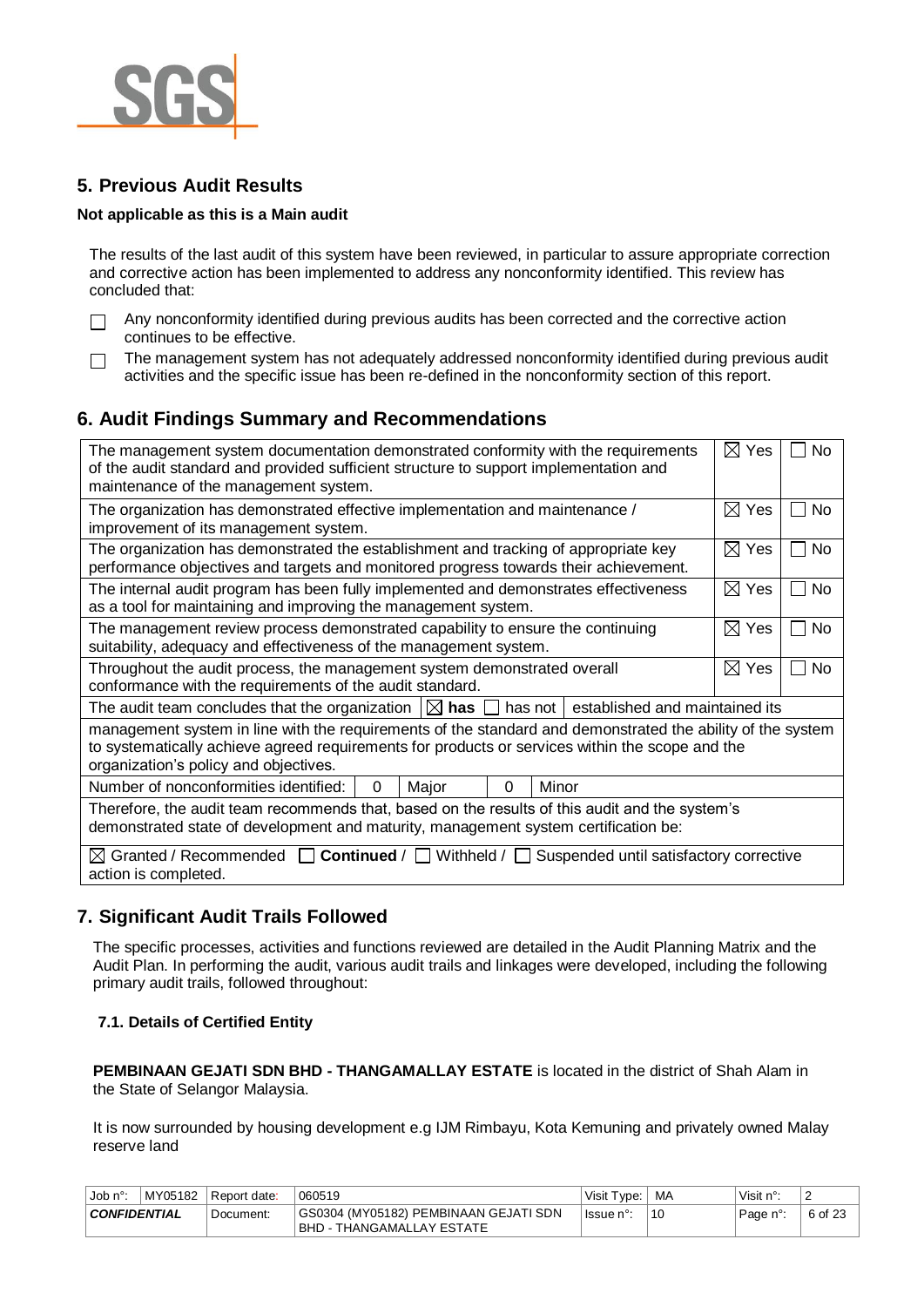

 $\Box$ 

# **5. Previous Audit Results**

#### **Not applicable as this is a Main audit**

The results of the last audit of this system have been reviewed, in particular to assure appropriate correction and corrective action has been implemented to address any nonconformity identified. This review has concluded that:

- Any nonconformity identified during previous audits has been corrected and the corrective action  $\Box$ continues to be effective.
	- The management system has not adequately addressed nonconformity identified during previous audit activities and the specific issue has been re-defined in the nonconformity section of this report.

# **6. Audit Findings Summary and Recommendations**

| The management system documentation demonstrated conformity with the requirements<br>of the audit standard and provided sufficient structure to support implementation and<br>maintenance of the management system.                                    | ⊠<br>Yes           | No        |  |  |  |  |  |  |
|--------------------------------------------------------------------------------------------------------------------------------------------------------------------------------------------------------------------------------------------------------|--------------------|-----------|--|--|--|--|--|--|
| The organization has demonstrated effective implementation and maintenance /<br>improvement of its management system.                                                                                                                                  | $\boxtimes$<br>Yes | No        |  |  |  |  |  |  |
| The organization has demonstrated the establishment and tracking of appropriate key<br>performance objectives and targets and monitored progress towards their achievement.                                                                            | $\boxtimes$ Yes    | No        |  |  |  |  |  |  |
| The internal audit program has been fully implemented and demonstrates effectiveness<br>as a tool for maintaining and improving the management system.                                                                                                 | $\boxtimes$ Yes    | No<br>- 1 |  |  |  |  |  |  |
| The management review process demonstrated capability to ensure the continuing<br>suitability, adequacy and effectiveness of the management system.                                                                                                    | ⊠<br>Yes           | No        |  |  |  |  |  |  |
| Throughout the audit process, the management system demonstrated overall<br>conformance with the requirements of the audit standard.                                                                                                                   | ⊠<br>Yes           | No        |  |  |  |  |  |  |
| The audit team concludes that the organization $\Box$ has $\Box$<br>has not   established and maintained its                                                                                                                                           |                    |           |  |  |  |  |  |  |
| management system in line with the requirements of the standard and demonstrated the ability of the system<br>to systematically achieve agreed requirements for products or services within the scope and the<br>organization's policy and objectives. |                    |           |  |  |  |  |  |  |
| Number of nonconformities identified:<br>Minor<br>Major<br>0<br>0                                                                                                                                                                                      |                    |           |  |  |  |  |  |  |
| Therefore, the audit team recommends that, based on the results of this audit and the system's<br>demonstrated state of development and maturity, management system certification be:                                                                  |                    |           |  |  |  |  |  |  |
| $\boxtimes$ Granted / Recommended $\Box$ Continued / $\Box$ Withheld /  <br>Suspended until satisfactory corrective<br>L.<br>action is completed.                                                                                                      |                    |           |  |  |  |  |  |  |

# **7. Significant Audit Trails Followed**

The specific processes, activities and functions reviewed are detailed in the Audit Planning Matrix and the Audit Plan. In performing the audit, various audit trails and linkages were developed, including the following primary audit trails, followed throughout:

#### **7.1. Details of Certified Entity**

**PEMBINAAN GEJATI SDN BHD - THANGAMALLAY ESTATE** is located in the district of Shah Alam in the State of Selangor Malaysia.

It is now surrounded by housing development e.g IJM Rimbayu, Kota Kemuning and privately owned Malay reserve land

| Job n°:                            | MY05182 | Report date: | 060519                                                              | Visit Type: | MA | Visit $n^{\circ}$ : | -       |
|------------------------------------|---------|--------------|---------------------------------------------------------------------|-------------|----|---------------------|---------|
| <b>CONFIDENTIAL</b><br>' Document: |         |              | GS0304 (MY05182) PEMBINAAN GEJATI SDN<br> BHD - THANGAMALLAY ESTATE | lssue n°:   | 10 | Page n°:            | 6 of 23 |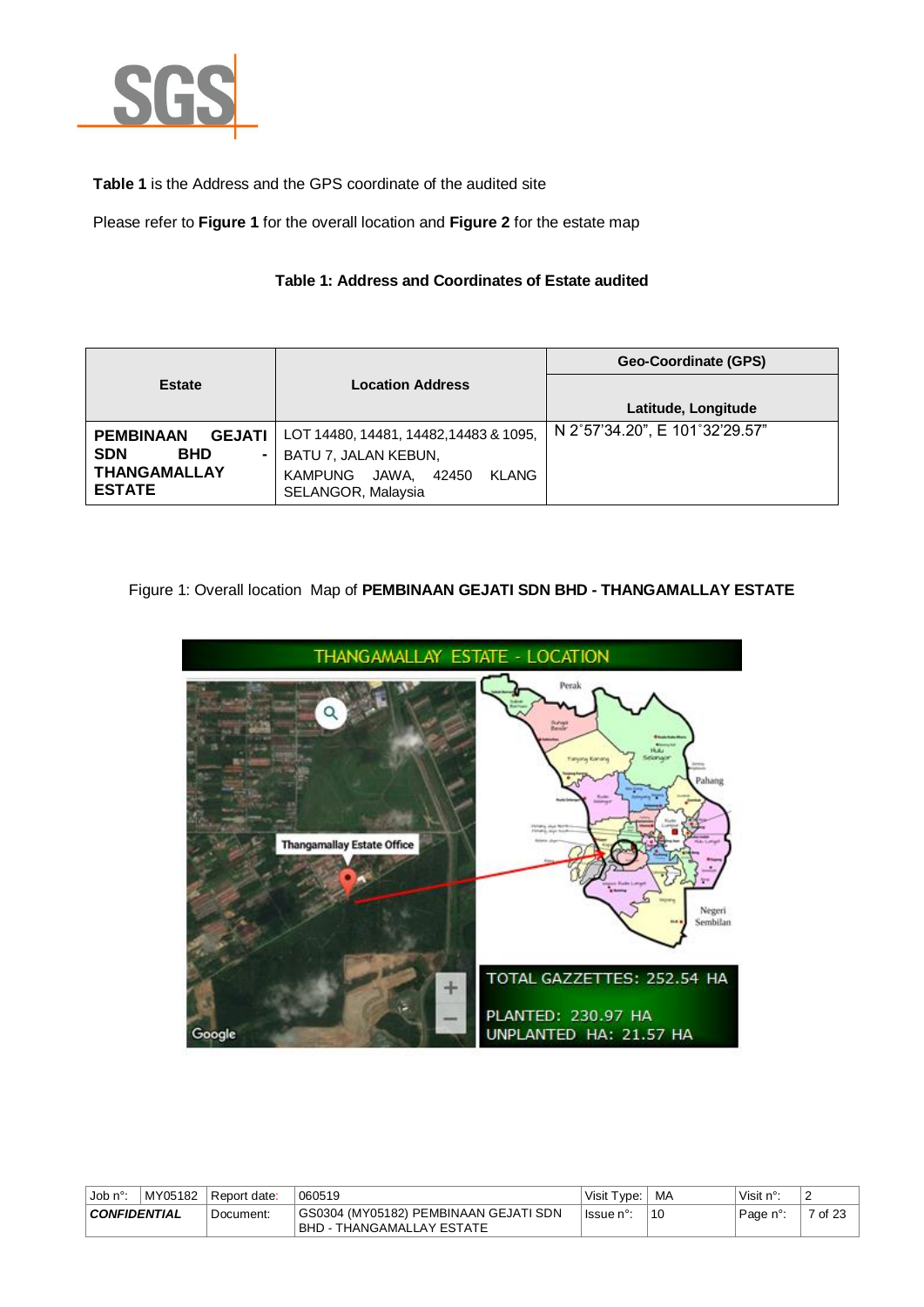

**Table 1** is the Address and the GPS coordinate of the audited site

Please refer to **Figure 1** for the overall location and **Figure 2** for the estate map

## **Table 1: Address and Coordinates of Estate audited**

|                                      |                                                                 | Geo-Coordinate (GPS)           |
|--------------------------------------|-----------------------------------------------------------------|--------------------------------|
| <b>Estate</b>                        | <b>Location Address</b>                                         |                                |
|                                      |                                                                 | Latitude, Longitude            |
| <b>GEJATI</b><br><b>PEMBINAAN</b>    | LOT 14480, 14481, 14482, 14483 & 1095,                          | N 2°57'34.20", E 101°32'29.57" |
| <b>SDN</b><br><b>BHD</b><br>۰        | BATU 7, JALAN KEBUN,                                            |                                |
| <b>THANGAMALLAY</b><br><b>ESTATE</b> | JAWA.<br>KLANG<br><b>KAMPUNG</b><br>42450<br>SELANGOR, Malaysia |                                |

# Figure 1: Overall location Map of **PEMBINAAN GEJATI SDN BHD - THANGAMALLAY ESTATE**



| Job $n^{\circ}$ :                | MY05182 | l Report date: | 060519                                                              | Visit Type: I | MA | Visit $n^{\circ}$ : | $\sqrt{2}$ |
|----------------------------------|---------|----------------|---------------------------------------------------------------------|---------------|----|---------------------|------------|
| <b>CONFIDENTIAL</b><br>Document: |         |                | GS0304 (MY05182) PEMBINAAN GEJATI SDN<br> BHD - THANGAMALLAY ESTATE | l Issue n°:   | 10 | Page n°:            | 7 of 23    |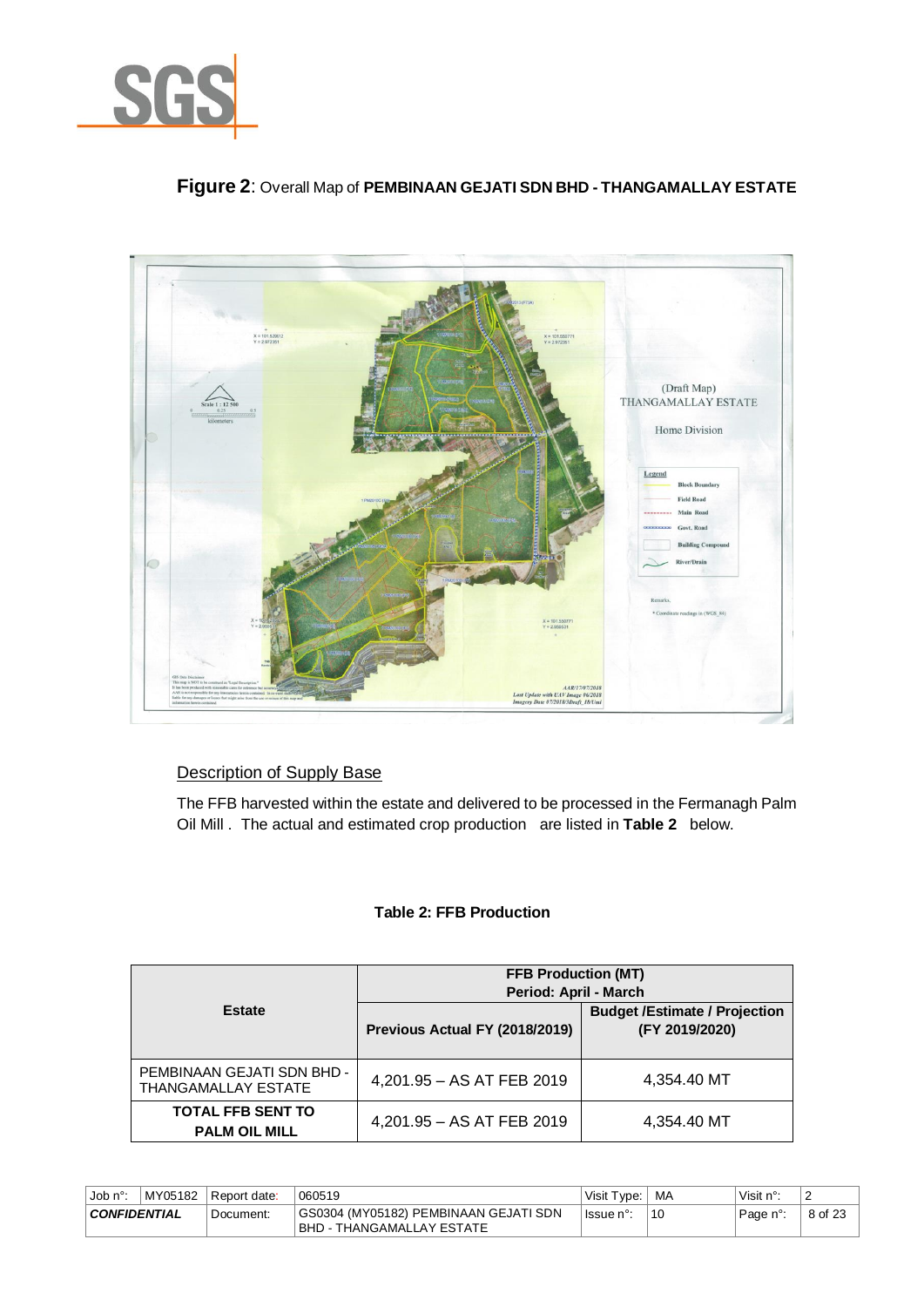

# **Figure 2**: Overall Map of **PEMBINAAN GEJATI SDN BHD - THANGAMALLAY ESTATE**



# Description of Supply Base

The FFB harvested within the estate and delivered to be processed in the Fermanagh Palm Oil Mill . The actual and estimated crop production are listed in **Table 2** below.

#### **Table 2: FFB Production**

|                                                          | <b>FFB Production (MT)</b><br>Period: April - March |                                                        |  |  |
|----------------------------------------------------------|-----------------------------------------------------|--------------------------------------------------------|--|--|
| <b>Estate</b>                                            | Previous Actual FY (2018/2019)                      | <b>Budget /Estimate / Projection</b><br>(FY 2019/2020) |  |  |
| PEMBINAAN GEJATI SDN BHD -<br><b>THANGAMALLAY ESTATE</b> | 4,201.95 - AS AT FEB 2019                           | 4,354.40 MT                                            |  |  |
| <b>TOTAL FFB SENT TO</b><br><b>PALM OIL MILL</b>         | 4,201.95 - AS AT FEB 2019                           | 4,354.40 MT                                            |  |  |

| ⊣Job n°∙            | MY05182 | Report date: | 060519                                                               | Visit Type: I | ∣ MA | Visit n°: | ▵       |
|---------------------|---------|--------------|----------------------------------------------------------------------|---------------|------|-----------|---------|
| <b>CONFIDENTIAL</b> |         | Document:    | GS0304 (MY05182) PEMBINAAN GEJATI SDN<br>  BHD - THANGAMALLAY ESTATE | lssue n°:     | 10   | Page n°:  | 8 of 23 |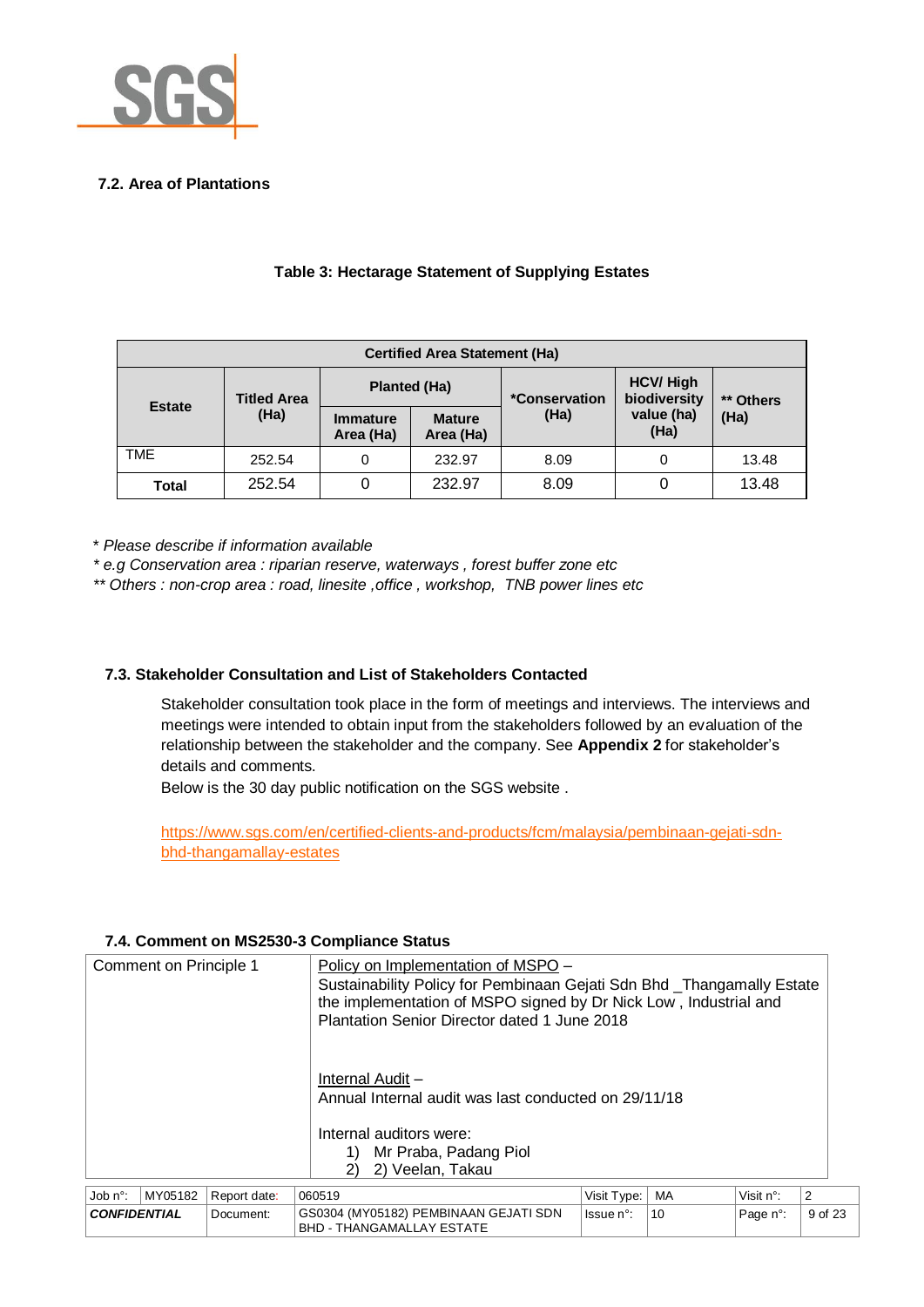

# **7.2. Area of Plantations**

| <b>Certified Area Statement (Ha)</b> |                    |                              |                            |                       |                                  |           |  |  |
|--------------------------------------|--------------------|------------------------------|----------------------------|-----------------------|----------------------------------|-----------|--|--|
| <b>Estate</b>                        | <b>Titled Area</b> | <b>Planted (Ha)</b>          |                            | <i>*</i> Conservation | <b>HCV/ High</b><br>biodiversity | ** Others |  |  |
|                                      | (Ha)               | <b>Immature</b><br>Area (Ha) | <b>Mature</b><br>Area (Ha) | (Ha)                  | value (ha)<br>(Ha)               | (Ha)      |  |  |
| <b>TME</b>                           | 252.54             | 0                            | 232.97                     | 8.09                  |                                  | 13.48     |  |  |
| Total                                | 252.54             |                              | 232.97                     | 8.09                  |                                  | 13.48     |  |  |

## **Table 3: Hectarage Statement of Supplying Estates**

\* *Please describe if information available* 

*\* e.g Conservation area : riparian reserve, waterways , forest buffer zone etc*

*\*\* Others : non-crop area : road, linesite ,office , workshop, TNB power lines etc*

# **7.3. Stakeholder Consultation and List of Stakeholders Contacted**

Stakeholder consultation took place in the form of meetings and interviews. The interviews and meetings were intended to obtain input from the stakeholders followed by an evaluation of the relationship between the stakeholder and the company. See **Appendix 2** for stakeholder's details and comments.

Below is the 30 day public notification on the SGS website .

[https://www.sgs.com/en/certified-clients-and-products/fcm/malaysia/pembinaan-gejati-sdn](https://www.sgs.com/en/certified-clients-and-products/fcm/malaysia/pembinaan-gejati-sdn-bhd-thangamallay-estates)[bhd-thangamallay-estates](https://www.sgs.com/en/certified-clients-and-products/fcm/malaysia/pembinaan-gejati-sdn-bhd-thangamallay-estates)

#### **7.4. Comment on MS2530-3 Compliance Status**

| Comment on Principle 1<br>Policy on Implementation of MSPO -<br>Sustainability Policy for Pembinaan Gejati Sdn Bhd _Thangamally Estate<br>the implementation of MSPO signed by Dr Nick Low, Industrial and<br>Plantation Senior Director dated 1 June 2018 |         |              |        |                                                                           |             |    |           |                |
|------------------------------------------------------------------------------------------------------------------------------------------------------------------------------------------------------------------------------------------------------------|---------|--------------|--------|---------------------------------------------------------------------------|-------------|----|-----------|----------------|
| Internal Audit -<br>Annual Internal audit was last conducted on 29/11/18<br>Internal auditors were:<br>Mr Praba, Padang Piol<br>1)<br>2) Veelan, Takau<br>2)                                                                                               |         |              |        |                                                                           |             |    |           |                |
| Job n°:                                                                                                                                                                                                                                                    | MY05182 | Report date: | 060519 |                                                                           | Visit Type: | MA | Visit n°: | $\overline{2}$ |
| <b>CONFIDENTIAL</b>                                                                                                                                                                                                                                        |         | Document:    |        | GS0304 (MY05182) PEMBINAAN GEJATI SDN<br><b>BHD - THANGAMALLAY ESTATE</b> | Issue n°:   | 10 | Page n°:  | 9 of 23        |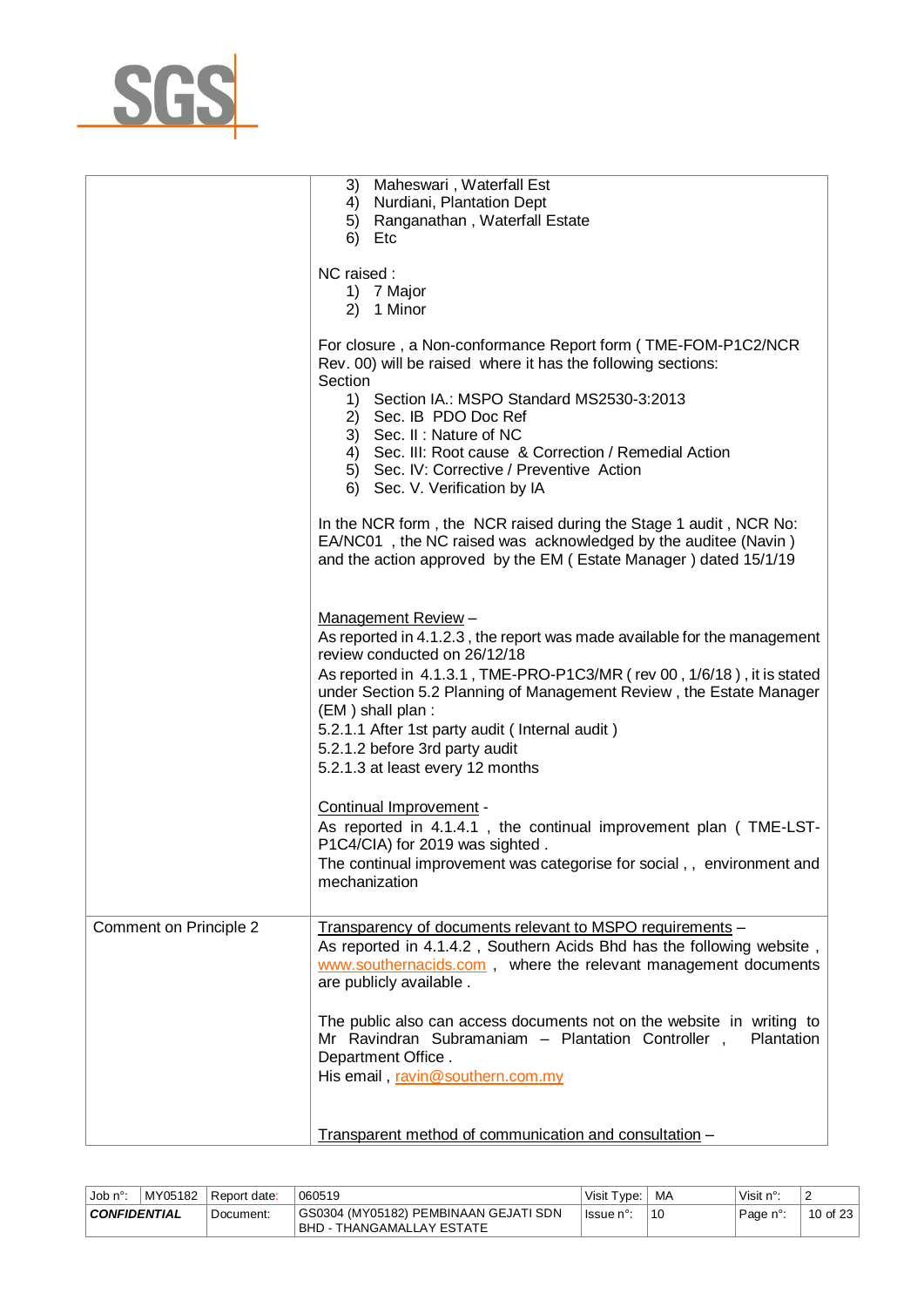

|                        | 3) Maheswari, Waterfall Est<br>4) Nurdiani, Plantation Dept<br>5) Ranganathan, Waterfall Estate<br>6) Etc                                                                                                                                                                                                                                                                                                                   |
|------------------------|-----------------------------------------------------------------------------------------------------------------------------------------------------------------------------------------------------------------------------------------------------------------------------------------------------------------------------------------------------------------------------------------------------------------------------|
|                        | NC raised:<br>1) 7 Major<br>2) 1 Minor                                                                                                                                                                                                                                                                                                                                                                                      |
|                        | For closure, a Non-conformance Report form (TME-FOM-P1C2/NCR<br>Rev. 00) will be raised where it has the following sections:<br>Section<br>1) Section IA.: MSPO Standard MS2530-3:2013<br>2) Sec. IB PDO Doc Ref<br>3) Sec. II: Nature of NC<br>4) Sec. III: Root cause & Correction / Remedial Action<br>5) Sec. IV: Corrective / Preventive Action                                                                        |
|                        | 6) Sec. V. Verification by IA                                                                                                                                                                                                                                                                                                                                                                                               |
|                        | In the NCR form, the NCR raised during the Stage 1 audit, NCR No:<br>EA/NC01, the NC raised was acknowledged by the auditee (Navin)<br>and the action approved by the EM (Estate Manager) dated 15/1/19                                                                                                                                                                                                                     |
|                        | Management Review-<br>As reported in 4.1.2.3, the report was made available for the management<br>review conducted on 26/12/18<br>As reported in 4.1.3.1, TME-PRO-P1C3/MR (rev 00, 1/6/18), it is stated<br>under Section 5.2 Planning of Management Review, the Estate Manager<br>(EM) shall plan:<br>5.2.1.1 After 1st party audit (Internal audit)<br>5.2.1.2 before 3rd party audit<br>5.2.1.3 at least every 12 months |
|                        | Continual Improvement -<br>As reported in 4.1.4.1, the continual improvement plan (TME-LST-<br>P1C4/CIA) for 2019 was sighted.<br>The continual improvement was categorise for social,, environment and<br>mechanization                                                                                                                                                                                                    |
| Comment on Principle 2 | Transparency of documents relevant to MSPO requirements -<br>As reported in 4.1.4.2, Southern Acids Bhd has the following website,<br>www.southernacids.com, where the relevant management documents<br>are publicly available.                                                                                                                                                                                             |
|                        | The public also can access documents not on the website in writing to<br>Mr Ravindran Subramaniam - Plantation Controller,<br>Plantation<br>Department Office.<br>His email, ravin@southern.com.my                                                                                                                                                                                                                          |
|                        | Transparent method of communication and consultation -                                                                                                                                                                                                                                                                                                                                                                      |

| ⊤Job n°:                         | MY05182 | Report date: | 060519                                                               | Visit Type: | МA | Visit $n^{\circ}$ : | ∼        |
|----------------------------------|---------|--------------|----------------------------------------------------------------------|-------------|----|---------------------|----------|
| <b>CONFIDENTIAL</b><br>Document: |         |              | GS0304 (MY05182) PEMBINAAN GEJATI SDN<br>  BHD - THANGAMALLAY ESTATE | lssue n°:   | 10 | Page n°:            | 10 of 23 |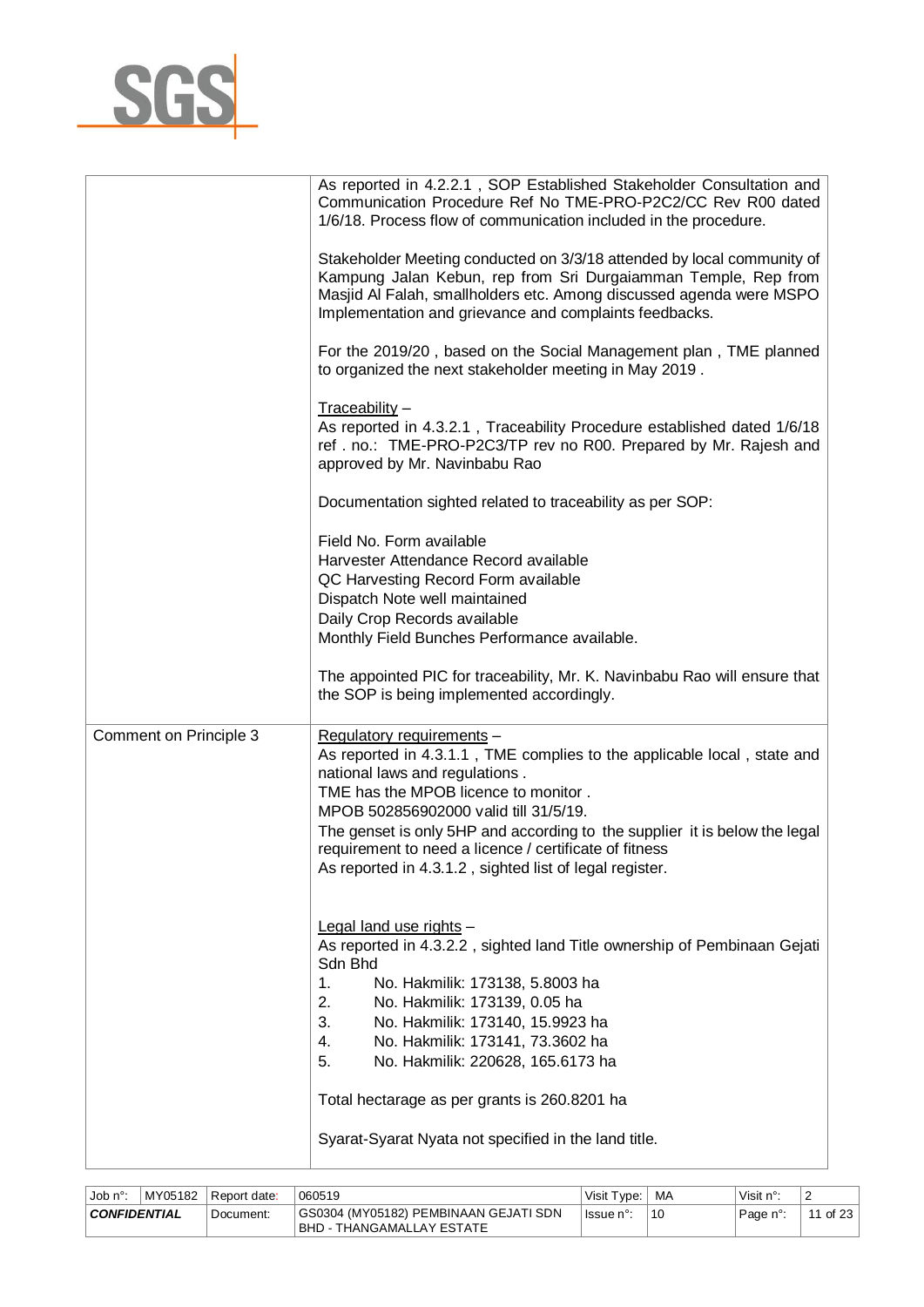

|                        | As reported in 4.2.2.1, SOP Established Stakeholder Consultation and<br>Communication Procedure Ref No TME-PRO-P2C2/CC Rev R00 dated<br>1/6/18. Process flow of communication included in the procedure.                                                                                                                                                                                                                   |
|------------------------|----------------------------------------------------------------------------------------------------------------------------------------------------------------------------------------------------------------------------------------------------------------------------------------------------------------------------------------------------------------------------------------------------------------------------|
|                        | Stakeholder Meeting conducted on 3/3/18 attended by local community of<br>Kampung Jalan Kebun, rep from Sri Durgaiamman Temple, Rep from<br>Masjid Al Falah, smallholders etc. Among discussed agenda were MSPO<br>Implementation and grievance and complaints feedbacks.                                                                                                                                                  |
|                        | For the 2019/20, based on the Social Management plan, TME planned<br>to organized the next stakeholder meeting in May 2019.                                                                                                                                                                                                                                                                                                |
|                        | Traceability -<br>As reported in 4.3.2.1, Traceability Procedure established dated 1/6/18<br>ref. no.: TME-PRO-P2C3/TP rev no R00. Prepared by Mr. Rajesh and<br>approved by Mr. Navinbabu Rao                                                                                                                                                                                                                             |
|                        | Documentation sighted related to traceability as per SOP:                                                                                                                                                                                                                                                                                                                                                                  |
|                        | Field No. Form available<br>Harvester Attendance Record available<br>QC Harvesting Record Form available<br>Dispatch Note well maintained<br>Daily Crop Records available<br>Monthly Field Bunches Performance available.                                                                                                                                                                                                  |
|                        | The appointed PIC for traceability, Mr. K. Navinbabu Rao will ensure that<br>the SOP is being implemented accordingly.                                                                                                                                                                                                                                                                                                     |
| Comment on Principle 3 | Regulatory requirements -<br>As reported in 4.3.1.1, TME complies to the applicable local, state and<br>national laws and regulations.<br>TME has the MPOB licence to monitor.<br>MPOB 502856902000 valid till 31/5/19.<br>The genset is only 5HP and according to the supplier it is below the legal<br>requirement to need a licence / certificate of fitness<br>As reported in 4.3.1.2, sighted list of legal register. |
|                        | Legal land use rights -<br>As reported in 4.3.2.2, sighted land Title ownership of Pembinaan Gejati<br>Sdn Bhd<br>No. Hakmilik: 173138, 5.8003 ha<br>1.<br>2.<br>No. Hakmilik: 173139, 0.05 ha<br>3.<br>No. Hakmilik: 173140, 15.9923 ha<br>No. Hakmilik: 173141, 73.3602 ha<br>4.<br>5.<br>No. Hakmilik: 220628, 165.6173 ha                                                                                              |
|                        | Total hectarage as per grants is 260.8201 ha                                                                                                                                                                                                                                                                                                                                                                               |
|                        | Syarat-Syarat Nyata not specified in the land title.                                                                                                                                                                                                                                                                                                                                                                       |

| . Job n°∙                        | MY05182 | Report date: | 060519                                                               | Visit Type: | MA | Visit n°: | ∼                         |
|----------------------------------|---------|--------------|----------------------------------------------------------------------|-------------|----|-----------|---------------------------|
| <b>CONFIDENTIAL</b><br>Document: |         |              | GS0304 (MY05182) PEMBINAAN GEJATI SDN<br>I BHD - THANGAMALLAY ESTATE | l Issue n°  | 10 | Page n°:  | of $23$<br>$\overline{A}$ |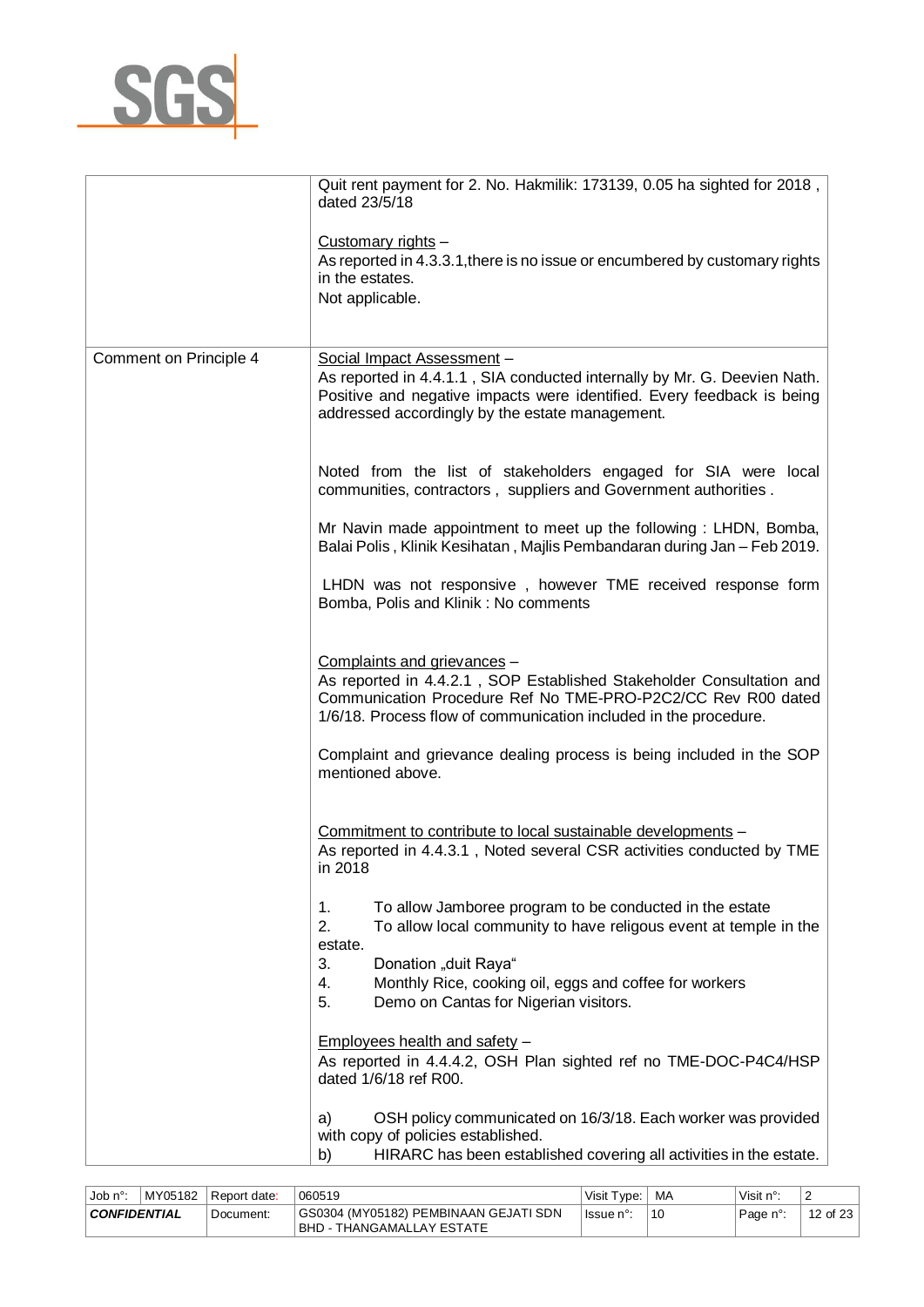

|                        | Quit rent payment for 2. No. Hakmilik: 173139, 0.05 ha sighted for 2018,<br>dated 23/5/18                                                                                                                                                                                                       |
|------------------------|-------------------------------------------------------------------------------------------------------------------------------------------------------------------------------------------------------------------------------------------------------------------------------------------------|
|                        | Customary rights -<br>As reported in 4.3.3.1, there is no issue or encumbered by customary rights<br>in the estates.<br>Not applicable.                                                                                                                                                         |
| Comment on Principle 4 | Social Impact Assessment -<br>As reported in 4.4.1.1, SIA conducted internally by Mr. G. Deevien Nath.<br>Positive and negative impacts were identified. Every feedback is being<br>addressed accordingly by the estate management.                                                             |
|                        | Noted from the list of stakeholders engaged for SIA were local<br>communities, contractors, suppliers and Government authorities.                                                                                                                                                               |
|                        | Mr Navin made appointment to meet up the following: LHDN, Bomba,<br>Balai Polis, Klinik Kesihatan, Majlis Pembandaran during Jan - Feb 2019.                                                                                                                                                    |
|                        | LHDN was not responsive, however TME received response form<br>Bomba, Polis and Klinik: No comments                                                                                                                                                                                             |
|                        | Complaints and grievances -<br>As reported in 4.4.2.1, SOP Established Stakeholder Consultation and<br>Communication Procedure Ref No TME-PRO-P2C2/CC Rev R00 dated<br>1/6/18. Process flow of communication included in the procedure.                                                         |
|                        | Complaint and grievance dealing process is being included in the SOP<br>mentioned above.                                                                                                                                                                                                        |
|                        | Commitment to contribute to local sustainable developments -<br>As reported in 4.4.3.1, Noted several CSR activities conducted by TME<br>in 2018                                                                                                                                                |
|                        | To allow Jamboree program to be conducted in the estate<br>1.<br>2.<br>To allow local community to have religous event at temple in the<br>estate.<br>3.<br>Donation "duit Raya"<br>Monthly Rice, cooking oil, eggs and coffee for workers<br>4.<br>Demo on Cantas for Nigerian visitors.<br>5. |
|                        | Employees health and safety -<br>As reported in 4.4.4.2, OSH Plan sighted ref no TME-DOC-P4C4/HSP<br>dated 1/6/18 ref R00.                                                                                                                                                                      |
|                        | OSH policy communicated on 16/3/18. Each worker was provided<br>a)<br>with copy of policies established.<br>HIRARC has been established covering all activities in the estate.<br>b)                                                                                                            |

| . Job n°:           | MY05182 | Report date: | 060519                                                                  | Visit<br>Гvре: | MA | Visit n°: | -                                |
|---------------------|---------|--------------|-------------------------------------------------------------------------|----------------|----|-----------|----------------------------------|
| <b>CONFIDENTIAL</b> |         | Document:    | GS0304 (MY05182) PEMBINAAN GEJATI SDN<br>BHD -<br>- THANGAMALLAY ESTATE | lssue n°:      | 10 | Page n°:  | $\sim$ 02<br>$\Lambda$<br>$\sim$ |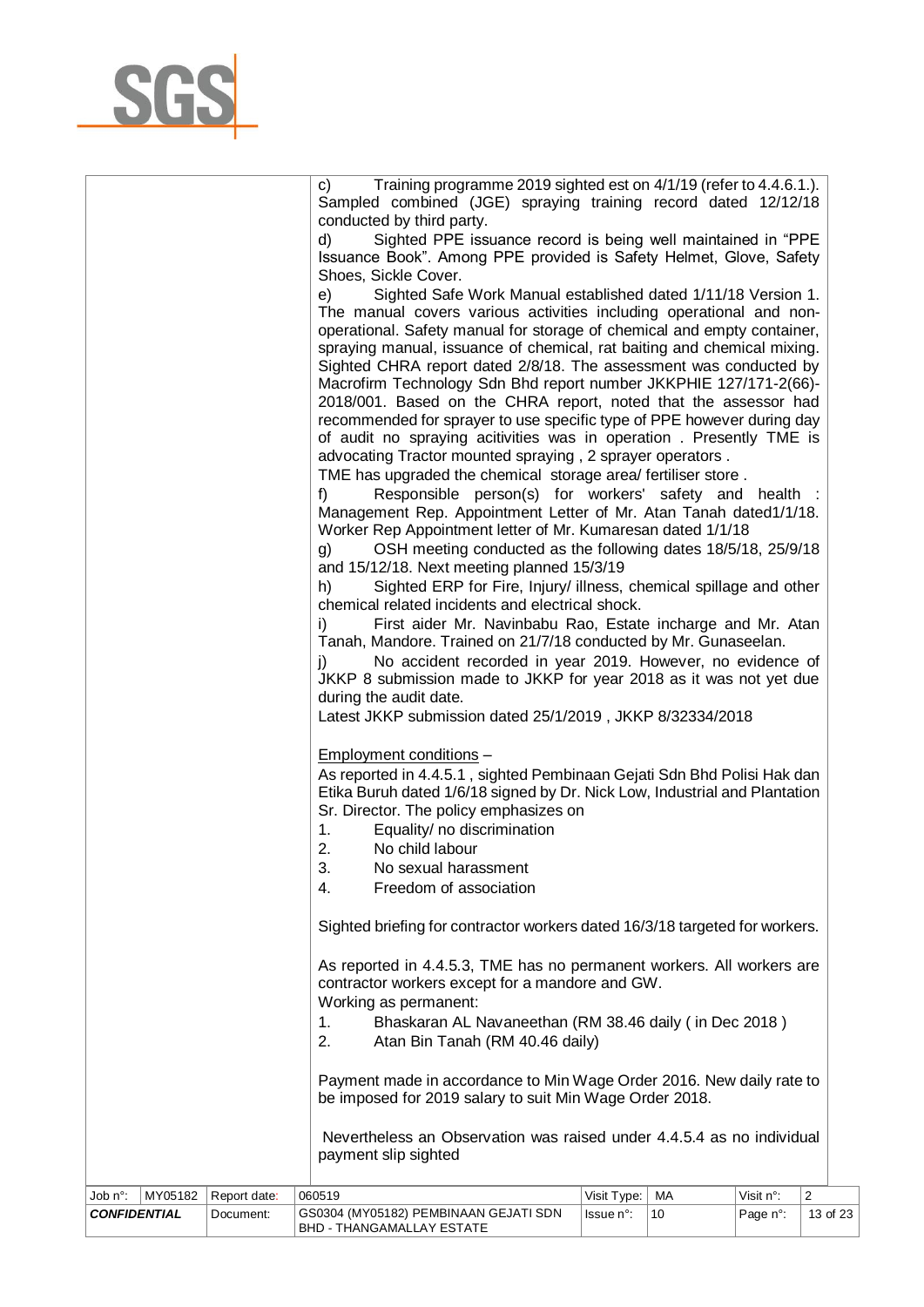| <b>CONFIDENTIAL</b> | Document:    | GS0304 (MY05182) PEMBINAAN GEJATI SDN<br><b>BHD - THANGAMALLAY ESTATE</b>                                                                                                                                                                                                                                                                                                                                                                                                                                                                                                                                                                                                                                                                                                                                                                                                                                                                                                                                                                                                                                                                                                                                                                                                                                                                                                                                                                                                                                                                                                                                                                                                                                                                                                                                                                                                                 | lssue n°:   | 10 | Page n°:  | 13 of 23       |
|---------------------|--------------|-------------------------------------------------------------------------------------------------------------------------------------------------------------------------------------------------------------------------------------------------------------------------------------------------------------------------------------------------------------------------------------------------------------------------------------------------------------------------------------------------------------------------------------------------------------------------------------------------------------------------------------------------------------------------------------------------------------------------------------------------------------------------------------------------------------------------------------------------------------------------------------------------------------------------------------------------------------------------------------------------------------------------------------------------------------------------------------------------------------------------------------------------------------------------------------------------------------------------------------------------------------------------------------------------------------------------------------------------------------------------------------------------------------------------------------------------------------------------------------------------------------------------------------------------------------------------------------------------------------------------------------------------------------------------------------------------------------------------------------------------------------------------------------------------------------------------------------------------------------------------------------------|-------------|----|-----------|----------------|
|                     |              |                                                                                                                                                                                                                                                                                                                                                                                                                                                                                                                                                                                                                                                                                                                                                                                                                                                                                                                                                                                                                                                                                                                                                                                                                                                                                                                                                                                                                                                                                                                                                                                                                                                                                                                                                                                                                                                                                           |             |    |           |                |
|                     |              |                                                                                                                                                                                                                                                                                                                                                                                                                                                                                                                                                                                                                                                                                                                                                                                                                                                                                                                                                                                                                                                                                                                                                                                                                                                                                                                                                                                                                                                                                                                                                                                                                                                                                                                                                                                                                                                                                           |             |    |           |                |
| Job n°:<br>MY05182  | Report date: | during the audit date.<br>Latest JKKP submission dated 25/1/2019, JKKP 8/32334/2018<br>Employment conditions -<br>As reported in 4.4.5.1, sighted Pembinaan Gejati Sdn Bhd Polisi Hak dan<br>Etika Buruh dated 1/6/18 signed by Dr. Nick Low, Industrial and Plantation<br>Sr. Director. The policy emphasizes on<br>1.<br>Equality/ no discrimination<br>2.<br>No child labour<br>3.<br>No sexual harassment<br>Freedom of association<br>4.<br>Sighted briefing for contractor workers dated 16/3/18 targeted for workers.<br>As reported in 4.4.5.3, TME has no permanent workers. All workers are<br>contractor workers except for a mandore and GW.<br>Working as permanent:<br>Bhaskaran AL Navaneethan (RM 38.46 daily (in Dec 2018)<br>1.<br>2.<br>Atan Bin Tanah (RM 40.46 daily)<br>Payment made in accordance to Min Wage Order 2016. New daily rate to<br>be imposed for 2019 salary to suit Min Wage Order 2018.<br>Nevertheless an Observation was raised under 4.4.5.4 as no individual<br>payment slip sighted<br>060519                                                                                                                                                                                                                                                                                                                                                                                                                                                                                                                                                                                                                                                                                                                                                                                                                                                  | Visit Type: | МA | Visit n°: | $\overline{2}$ |
|                     |              | Training programme 2019 sighted est on 4/1/19 (refer to 4.4.6.1.).<br>C)<br>Sampled combined (JGE) spraying training record dated 12/12/18<br>conducted by third party.<br>Sighted PPE issuance record is being well maintained in "PPE<br>d)<br>Issuance Book". Among PPE provided is Safety Helmet, Glove, Safety<br>Shoes, Sickle Cover.<br>Sighted Safe Work Manual established dated 1/11/18 Version 1.<br>e)<br>The manual covers various activities including operational and non-<br>operational. Safety manual for storage of chemical and empty container,<br>spraying manual, issuance of chemical, rat baiting and chemical mixing.<br>Sighted CHRA report dated 2/8/18. The assessment was conducted by<br>Macrofirm Technology Sdn Bhd report number JKKPHIE 127/171-2(66)-<br>2018/001. Based on the CHRA report, noted that the assessor had<br>recommended for sprayer to use specific type of PPE however during day<br>of audit no spraying acitivities was in operation. Presently TME is<br>advocating Tractor mounted spraying, 2 sprayer operators.<br>TME has upgraded the chemical storage area/ fertiliser store.<br>$f$ )<br>Responsible person(s) for workers' safety and health :<br>Management Rep. Appointment Letter of Mr. Atan Tanah dated1/1/18.<br>Worker Rep Appointment letter of Mr. Kumaresan dated 1/1/18<br>OSH meeting conducted as the following dates 18/5/18, 25/9/18<br>g)<br>and 15/12/18. Next meeting planned 15/3/19<br>Sighted ERP for Fire, Injury/ illness, chemical spillage and other<br>h)<br>chemical related incidents and electrical shock.<br>First aider Mr. Navinbabu Rao, Estate incharge and Mr. Atan<br>i)<br>Tanah, Mandore. Trained on 21/7/18 conducted by Mr. Gunaseelan.<br>No accident recorded in year 2019. However, no evidence of<br>i)<br>JKKP 8 submission made to JKKP for year 2018 as it was not yet due |             |    |           |                |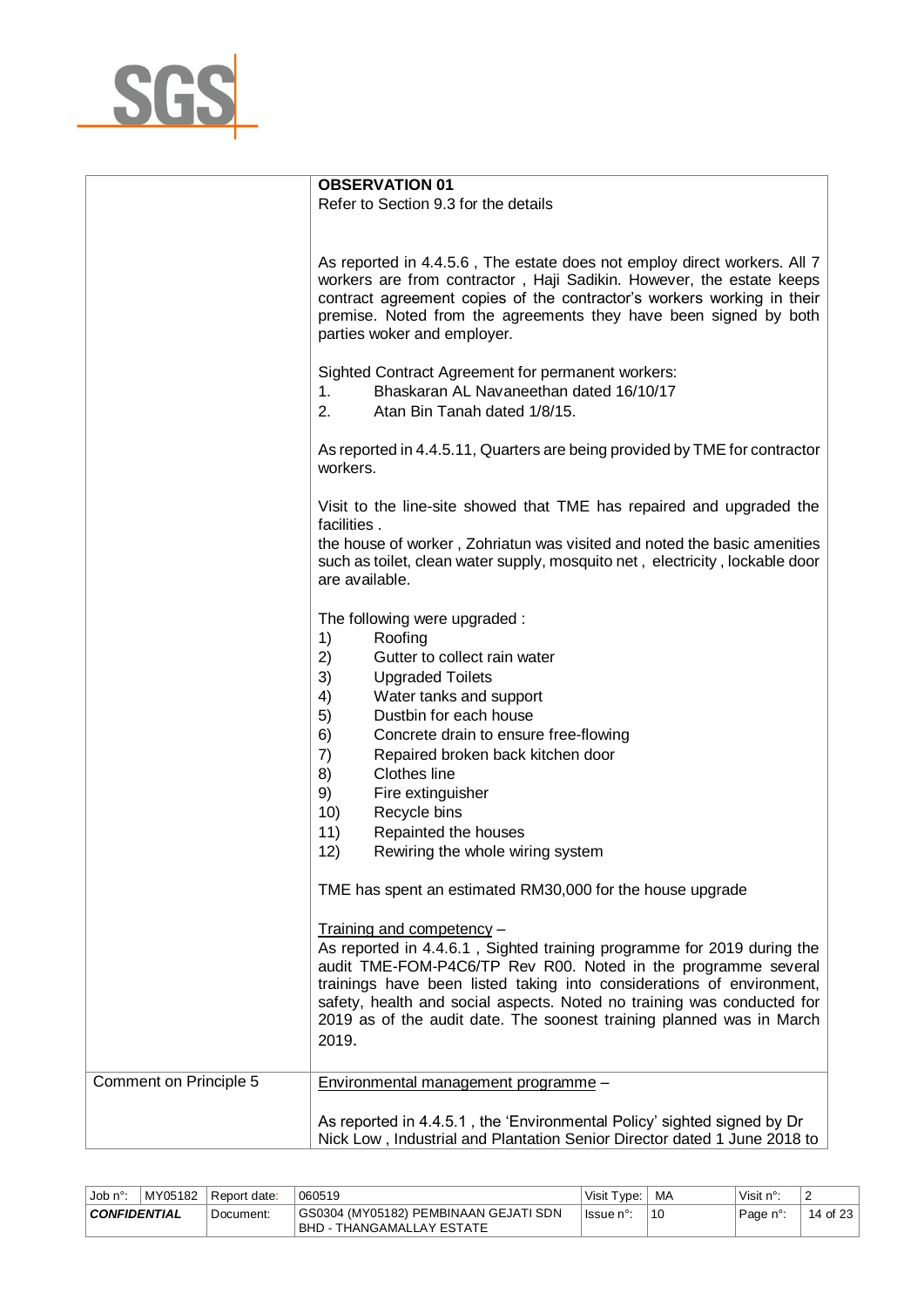

|                        | <b>OBSERVATION 01</b>                                                                                                                                                                                                                                                                                                         |
|------------------------|-------------------------------------------------------------------------------------------------------------------------------------------------------------------------------------------------------------------------------------------------------------------------------------------------------------------------------|
|                        | Refer to Section 9.3 for the details                                                                                                                                                                                                                                                                                          |
|                        |                                                                                                                                                                                                                                                                                                                               |
|                        |                                                                                                                                                                                                                                                                                                                               |
|                        | As reported in 4.4.5.6, The estate does not employ direct workers. All 7<br>workers are from contractor, Haji Sadikin. However, the estate keeps<br>contract agreement copies of the contractor's workers working in their<br>premise. Noted from the agreements they have been signed by both<br>parties woker and employer. |
|                        | Sighted Contract Agreement for permanent workers:<br>Bhaskaran AL Navaneethan dated 16/10/17<br>1.<br>2.<br>Atan Bin Tanah dated 1/8/15.                                                                                                                                                                                      |
|                        | As reported in 4.4.5.11, Quarters are being provided by TME for contractor<br>workers.                                                                                                                                                                                                                                        |
|                        | Visit to the line-site showed that TME has repaired and upgraded the<br>facilities.                                                                                                                                                                                                                                           |
|                        | the house of worker, Zohriatun was visited and noted the basic amenities<br>such as toilet, clean water supply, mosquito net, electricity, lockable door<br>are available.                                                                                                                                                    |
|                        | The following were upgraded:<br>1)<br>Roofing                                                                                                                                                                                                                                                                                 |
|                        | 2)<br>Gutter to collect rain water                                                                                                                                                                                                                                                                                            |
|                        | 3)<br><b>Upgraded Toilets</b>                                                                                                                                                                                                                                                                                                 |
|                        | Water tanks and support<br>4)                                                                                                                                                                                                                                                                                                 |
|                        | 5)<br>Dustbin for each house                                                                                                                                                                                                                                                                                                  |
|                        | 6)<br>Concrete drain to ensure free-flowing                                                                                                                                                                                                                                                                                   |
|                        | 7)<br>Repaired broken back kitchen door                                                                                                                                                                                                                                                                                       |
|                        | Clothes line<br>8)                                                                                                                                                                                                                                                                                                            |
|                        | 9)<br>Fire extinguisher                                                                                                                                                                                                                                                                                                       |
|                        | 10)<br>Recycle bins                                                                                                                                                                                                                                                                                                           |
|                        | 11)<br>Repainted the houses                                                                                                                                                                                                                                                                                                   |
|                        | 12)<br>Rewiring the whole wiring system                                                                                                                                                                                                                                                                                       |
|                        | TME has spent an estimated RM30,000 for the house upgrade                                                                                                                                                                                                                                                                     |
|                        | Training and competency -                                                                                                                                                                                                                                                                                                     |
|                        | As reported in 4.4.6.1, Sighted training programme for 2019 during the<br>audit TME-FOM-P4C6/TP Rev R00. Noted in the programme several                                                                                                                                                                                       |
|                        | trainings have been listed taking into considerations of environment,<br>safety, health and social aspects. Noted no training was conducted for                                                                                                                                                                               |
|                        | 2019 as of the audit date. The soonest training planned was in March<br>2019.                                                                                                                                                                                                                                                 |
| Comment on Principle 5 | Environmental management programme -                                                                                                                                                                                                                                                                                          |
|                        | As reported in 4.4.5.1, the 'Environmental Policy' sighted signed by Dr<br>Nick Low, Industrial and Plantation Senior Director dated 1 June 2018 to                                                                                                                                                                           |

| ⊣Job n°      | MY05182 | Report date: | 060519                                                                    | Visit Type: | МA | Visit n°: | $\epsilon$              |
|--------------|---------|--------------|---------------------------------------------------------------------------|-------------|----|-----------|-------------------------|
| CONFIDENTIAL |         | Document:    | GS0304 (MY05182) PEMBINAAN GEJATI SDN<br><b>BHD - THANGAMALLAY ESTATE</b> | lssue n°:   | 10 | Page n°:  | 14 of 23 $\overline{)}$ |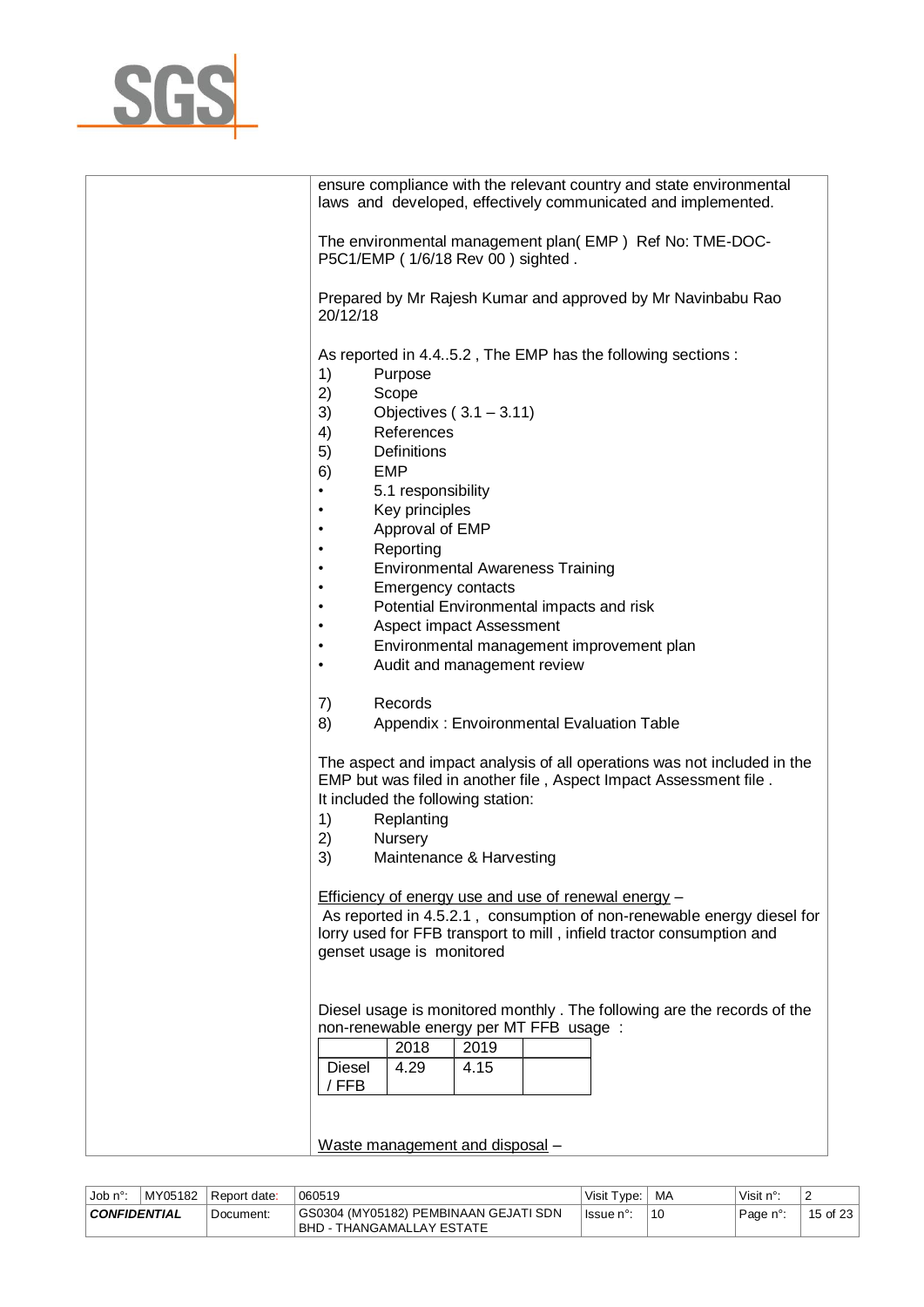

| ensure compliance with the relevant country and state environmental<br>laws and developed, effectively communicated and implemented.                                                                                                                                                                                                                                                                                                                                                                                                                                           |
|--------------------------------------------------------------------------------------------------------------------------------------------------------------------------------------------------------------------------------------------------------------------------------------------------------------------------------------------------------------------------------------------------------------------------------------------------------------------------------------------------------------------------------------------------------------------------------|
| The environmental management plan(EMP) Ref No: TME-DOC-<br>P5C1/EMP (1/6/18 Rev 00) sighted.                                                                                                                                                                                                                                                                                                                                                                                                                                                                                   |
| Prepared by Mr Rajesh Kumar and approved by Mr Navinbabu Rao<br>20/12/18                                                                                                                                                                                                                                                                                                                                                                                                                                                                                                       |
| As reported in 4.45.2, The EMP has the following sections:<br>1)<br>Purpose<br>2)<br>Scope<br>3)<br>Objectives $(3.1 - 3.11)$<br>References<br>4)<br>Definitions<br>5)<br><b>EMP</b><br>6)<br>5.1 responsibility<br>$\bullet$<br>Key principles<br>Approval of EMP<br>$\bullet$<br>Reporting<br>٠<br><b>Environmental Awareness Training</b><br>$\bullet$<br><b>Emergency contacts</b><br>$\bullet$<br>Potential Environmental impacts and risk<br>٠<br>Aspect impact Assessment<br>Environmental management improvement plan<br>$\bullet$<br>Audit and management review<br>٠ |
| Records<br>7)<br>8)<br>Appendix: Envoironmental Evaluation Table                                                                                                                                                                                                                                                                                                                                                                                                                                                                                                               |
| The aspect and impact analysis of all operations was not included in the<br>EMP but was filed in another file, Aspect Impact Assessment file.<br>It included the following station:<br>Replanting<br>1)<br>2)<br>Nursery<br>3)<br>Maintenance & Harvesting                                                                                                                                                                                                                                                                                                                     |
| <b>Efficiency of energy use and use of renewal energy -</b><br>As reported in 4.5.2.1, consumption of non-renewable energy diesel for<br>lorry used for FFB transport to mill, infield tractor consumption and<br>genset usage is monitored                                                                                                                                                                                                                                                                                                                                    |
| Diesel usage is monitored monthly. The following are the records of the<br>non-renewable energy per MT FFB usage :<br>2018<br>2019<br><b>Diesel</b><br>4.29<br>4.15<br>/ FFB                                                                                                                                                                                                                                                                                                                                                                                                   |
| Waste management and disposal -                                                                                                                                                                                                                                                                                                                                                                                                                                                                                                                                                |

| Job $n^{\circ}$ :   | MY05182 | l Report date: | 060519                                                                    | Visit Type: | МA | Visit n°: | -                  |
|---------------------|---------|----------------|---------------------------------------------------------------------------|-------------|----|-----------|--------------------|
| <b>CONFIDENTIAL</b> |         | Document:      | GS0304 (MY05182) PEMBINAAN GEJATI SDN<br>BHD -<br>· THANGAMALLAY ESTATE · | lssue n°:   | 10 | Page n°:  | of 23 $\mid$<br>15 |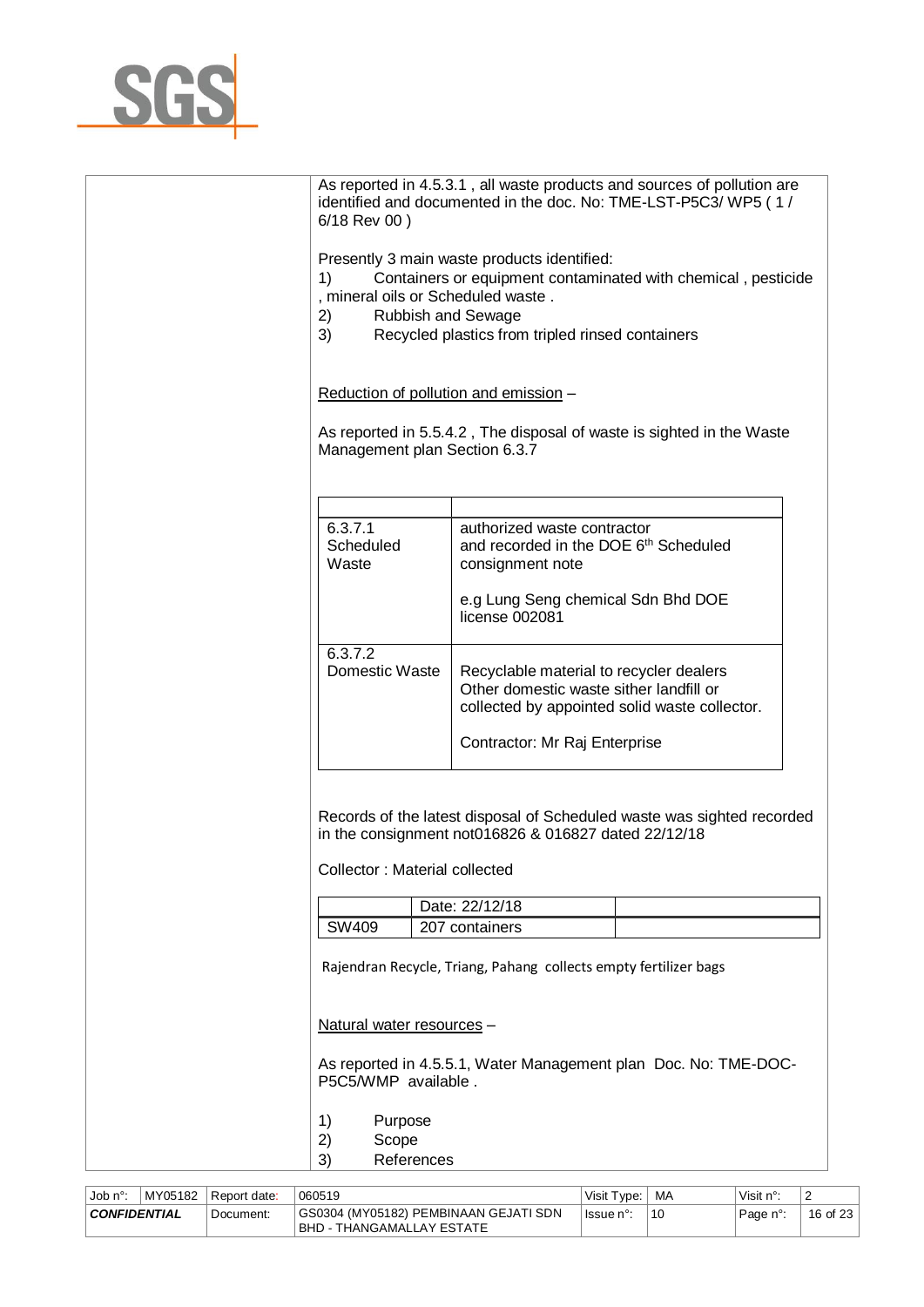

| 6/18 Rev 00)                                                                      | As reported in 4.5.3.1, all waste products and sources of pollution are<br>identified and documented in the doc. No: TME-LST-P5C3/ WP5 (1/                       |  |  |
|-----------------------------------------------------------------------------------|------------------------------------------------------------------------------------------------------------------------------------------------------------------|--|--|
| 1)<br>, mineral oils or Scheduled waste.<br>2)<br><b>Rubbish and Sewage</b><br>3) | Presently 3 main waste products identified:<br>Containers or equipment contaminated with chemical, pesticide<br>Recycled plastics from tripled rinsed containers |  |  |
| Reduction of pollution and emission -                                             |                                                                                                                                                                  |  |  |
| Management plan Section 6.3.7                                                     | As reported in 5.5.4.2, The disposal of waste is sighted in the Waste                                                                                            |  |  |
|                                                                                   |                                                                                                                                                                  |  |  |
| 6.3.7.1<br>Scheduled<br>Waste                                                     | authorized waste contractor<br>and recorded in the DOE 6th Scheduled<br>consignment note                                                                         |  |  |
|                                                                                   | e.g Lung Seng chemical Sdn Bhd DOE<br>license 002081                                                                                                             |  |  |
| 6.3.7.2<br>Domestic Waste                                                         | Recyclable material to recycler dealers<br>Other domestic waste sither landfill or<br>collected by appointed solid waste collector.                              |  |  |
|                                                                                   | Contractor: Mr Raj Enterprise                                                                                                                                    |  |  |
| Collector: Material collected                                                     | Records of the latest disposal of Scheduled waste was sighted recorded<br>in the consignment not016826 & 016827 dated 22/12/18                                   |  |  |
| SW409                                                                             | Date: 22/12/18<br>207 containers                                                                                                                                 |  |  |
|                                                                                   | Rajendran Recycle, Triang, Pahang collects empty fertilizer bags                                                                                                 |  |  |
| Natural water resources -                                                         |                                                                                                                                                                  |  |  |
| P5C5/WMP available.                                                               | As reported in 4.5.5.1, Water Management plan Doc. No: TME-DOC-                                                                                                  |  |  |
| Purpose<br>1)<br>2)<br>Scope<br>3)<br>References                                  |                                                                                                                                                                  |  |  |

| . Job n°∙                        | MY05182 | Report date: | 060519                                                               | Visit Type: | MA | Visit $n^{\circ}$ : | -        |
|----------------------------------|---------|--------------|----------------------------------------------------------------------|-------------|----|---------------------|----------|
| <b>CONFIDENTIAL</b><br>Document: |         |              | GS0304 (MY05182) PEMBINAAN GEJATI SDN<br>  BHD - THANGAMALLAY ESTATE | lssue n°:   | 10 | Page n°:            | 16 of 23 |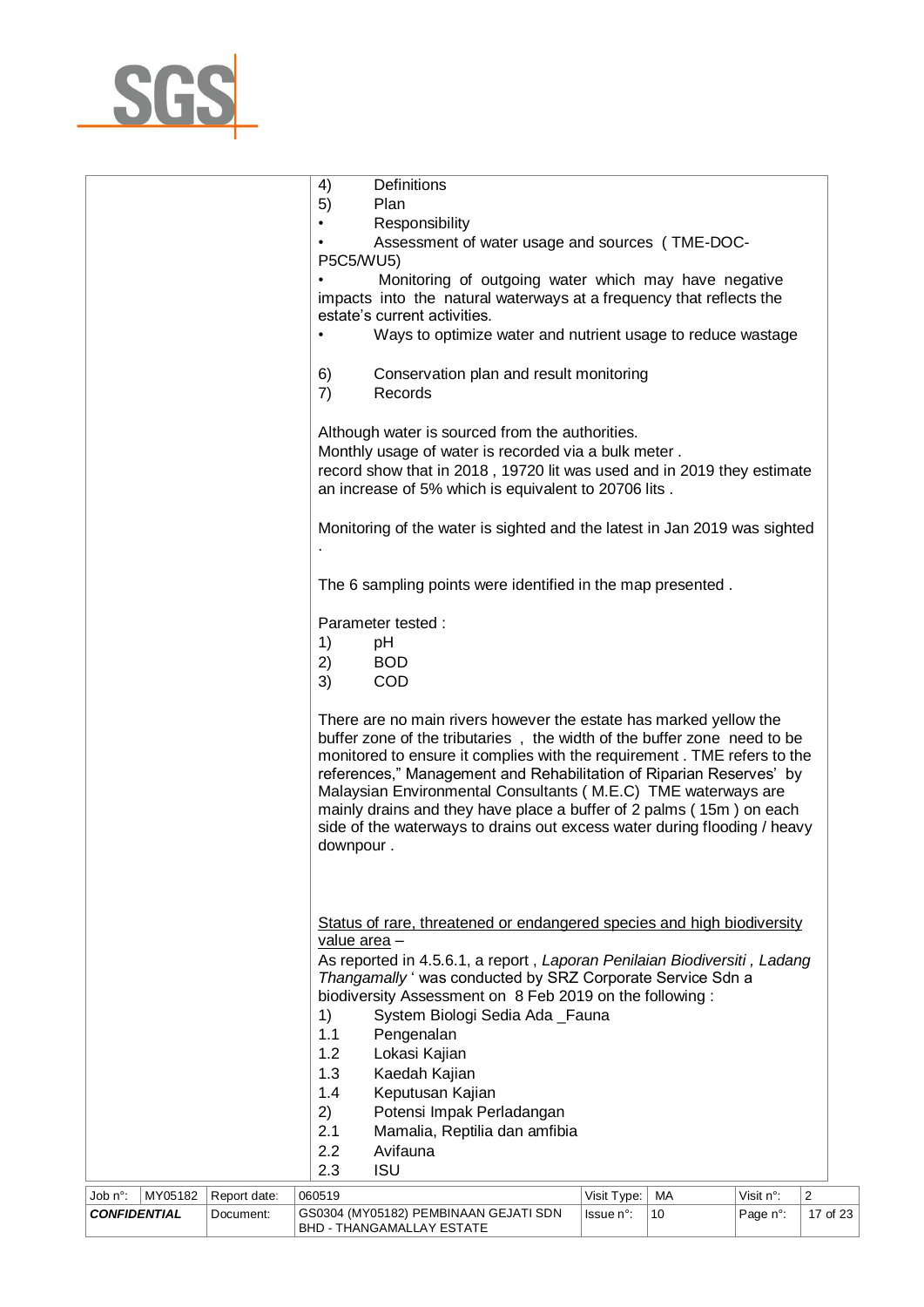

|                                |         |                           |           | 4)<br>5)     | Definitions<br>Plan                                                                                                                                                                                                                                                                                                                                                                                                                                                                                                |                          |          |                       |                                     |
|--------------------------------|---------|---------------------------|-----------|--------------|--------------------------------------------------------------------------------------------------------------------------------------------------------------------------------------------------------------------------------------------------------------------------------------------------------------------------------------------------------------------------------------------------------------------------------------------------------------------------------------------------------------------|--------------------------|----------|-----------------------|-------------------------------------|
|                                |         |                           | $\bullet$ |              | Responsibility                                                                                                                                                                                                                                                                                                                                                                                                                                                                                                     |                          |          |                       |                                     |
|                                |         |                           |           |              | Assessment of water usage and sources (TME-DOC-                                                                                                                                                                                                                                                                                                                                                                                                                                                                    |                          |          |                       |                                     |
|                                |         |                           |           | P5C5/WU5)    |                                                                                                                                                                                                                                                                                                                                                                                                                                                                                                                    |                          |          |                       |                                     |
|                                |         |                           |           |              | Monitoring of outgoing water which may have negative<br>impacts into the natural waterways at a frequency that reflects the<br>estate's current activities.                                                                                                                                                                                                                                                                                                                                                        |                          |          |                       |                                     |
|                                |         |                           |           |              | Ways to optimize water and nutrient usage to reduce wastage                                                                                                                                                                                                                                                                                                                                                                                                                                                        |                          |          |                       |                                     |
|                                |         |                           |           | 6)<br>7)     | Conservation plan and result monitoring<br>Records                                                                                                                                                                                                                                                                                                                                                                                                                                                                 |                          |          |                       |                                     |
|                                |         |                           |           |              | Although water is sourced from the authorities.<br>Monthly usage of water is recorded via a bulk meter.<br>record show that in 2018, 19720 lit was used and in 2019 they estimate<br>an increase of 5% which is equivalent to 20706 lits.                                                                                                                                                                                                                                                                          |                          |          |                       |                                     |
|                                |         |                           |           |              | Monitoring of the water is sighted and the latest in Jan 2019 was sighted                                                                                                                                                                                                                                                                                                                                                                                                                                          |                          |          |                       |                                     |
|                                |         |                           |           |              | The 6 sampling points were identified in the map presented.                                                                                                                                                                                                                                                                                                                                                                                                                                                        |                          |          |                       |                                     |
|                                |         |                           |           |              | Parameter tested:                                                                                                                                                                                                                                                                                                                                                                                                                                                                                                  |                          |          |                       |                                     |
|                                |         |                           |           | 1)           | pH                                                                                                                                                                                                                                                                                                                                                                                                                                                                                                                 |                          |          |                       |                                     |
|                                |         |                           |           | 2)           | <b>BOD</b>                                                                                                                                                                                                                                                                                                                                                                                                                                                                                                         |                          |          |                       |                                     |
|                                |         |                           |           | 3)           | COD                                                                                                                                                                                                                                                                                                                                                                                                                                                                                                                |                          |          |                       |                                     |
|                                |         |                           |           | downpour.    | There are no main rivers however the estate has marked yellow the<br>buffer zone of the tributaries, the width of the buffer zone need to be<br>monitored to ensure it complies with the requirement. TME refers to the<br>references," Management and Rehabilitation of Riparian Reserves' by<br>Malaysian Environmental Consultants (M.E.C) TME waterways are<br>mainly drains and they have place a buffer of 2 palms (15m) on each<br>side of the waterways to drains out excess water during flooding / heavy |                          |          |                       |                                     |
|                                |         |                           |           |              |                                                                                                                                                                                                                                                                                                                                                                                                                                                                                                                    |                          |          |                       |                                     |
|                                |         |                           |           | value area - | Status of rare, threatened or endangered species and high biodiversity                                                                                                                                                                                                                                                                                                                                                                                                                                             |                          |          |                       |                                     |
|                                |         |                           |           |              | As reported in 4.5.6.1, a report, Laporan Penilaian Biodiversiti, Ladang                                                                                                                                                                                                                                                                                                                                                                                                                                           |                          |          |                       |                                     |
|                                |         |                           |           |              | Thangamally ' was conducted by SRZ Corporate Service Sdn a                                                                                                                                                                                                                                                                                                                                                                                                                                                         |                          |          |                       |                                     |
|                                |         |                           |           |              | biodiversity Assessment on 8 Feb 2019 on the following:                                                                                                                                                                                                                                                                                                                                                                                                                                                            |                          |          |                       |                                     |
|                                |         |                           |           | 1)<br>1.1    | System Biologi Sedia Ada _Fauna<br>Pengenalan                                                                                                                                                                                                                                                                                                                                                                                                                                                                      |                          |          |                       |                                     |
|                                |         |                           |           | 1.2          | Lokasi Kajian                                                                                                                                                                                                                                                                                                                                                                                                                                                                                                      |                          |          |                       |                                     |
|                                |         |                           |           | 1.3          | Kaedah Kajian                                                                                                                                                                                                                                                                                                                                                                                                                                                                                                      |                          |          |                       |                                     |
|                                |         |                           |           | 1.4          | Keputusan Kajian                                                                                                                                                                                                                                                                                                                                                                                                                                                                                                   |                          |          |                       |                                     |
|                                |         |                           |           | 2)           | Potensi Impak Perladangan                                                                                                                                                                                                                                                                                                                                                                                                                                                                                          |                          |          |                       |                                     |
|                                |         |                           |           | 2.1          | Mamalia, Reptilia dan amfibia                                                                                                                                                                                                                                                                                                                                                                                                                                                                                      |                          |          |                       |                                     |
|                                |         |                           |           | 2.2<br>2.3   | Avifauna<br><b>ISU</b>                                                                                                                                                                                                                                                                                                                                                                                                                                                                                             |                          |          |                       |                                     |
|                                |         |                           |           |              |                                                                                                                                                                                                                                                                                                                                                                                                                                                                                                                    |                          |          |                       |                                     |
| Job n°:<br><b>CONFIDENTIAL</b> | MY05182 | Report date:<br>Document: | 060519    |              | GS0304 (MY05182) PEMBINAAN GEJATI SDN                                                                                                                                                                                                                                                                                                                                                                                                                                                                              | Visit Type:<br>Issue n°: | MA<br>10 | Visit n°:<br>Page n°: | $\overline{\mathbf{c}}$<br>17 of 23 |
|                                |         |                           |           |              |                                                                                                                                                                                                                                                                                                                                                                                                                                                                                                                    |                          |          |                       |                                     |

BHD - THANGAMALLAY ESTATE

I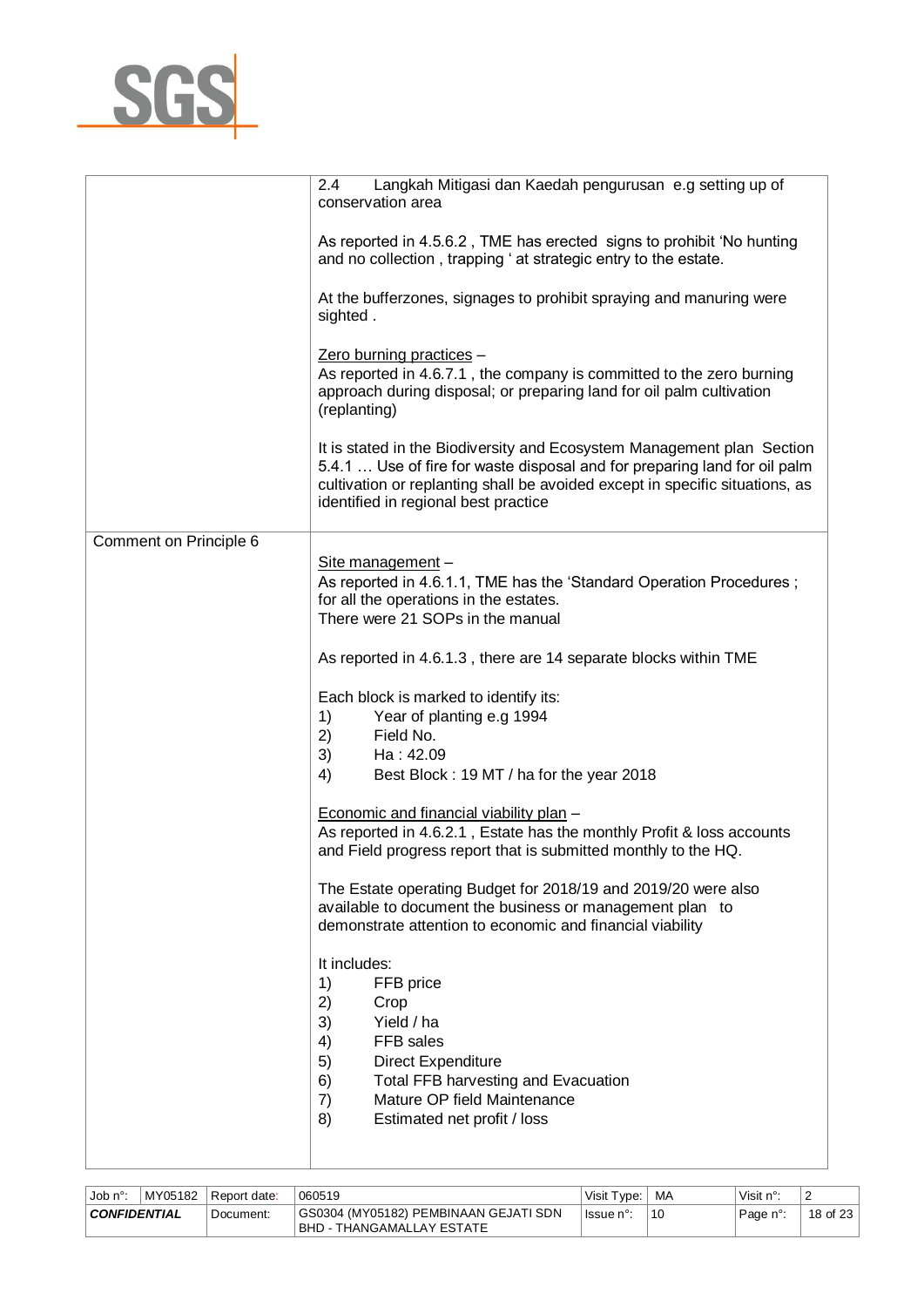

|                        | Langkah Mitigasi dan Kaedah pengurusan e.g setting up of<br>2.4<br>conservation area                                                                                                                                                                                        |
|------------------------|-----------------------------------------------------------------------------------------------------------------------------------------------------------------------------------------------------------------------------------------------------------------------------|
|                        | As reported in 4.5.6.2, TME has erected signs to prohibit 'No hunting<br>and no collection, trapping ' at strategic entry to the estate.                                                                                                                                    |
|                        | At the bufferzones, signages to prohibit spraying and manuring were<br>sighted.                                                                                                                                                                                             |
|                        | Zero burning practices -<br>As reported in 4.6.7.1, the company is committed to the zero burning<br>approach during disposal; or preparing land for oil palm cultivation<br>(replanting)                                                                                    |
|                        | It is stated in the Biodiversity and Ecosystem Management plan Section<br>5.4.1  Use of fire for waste disposal and for preparing land for oil palm<br>cultivation or replanting shall be avoided except in specific situations, as<br>identified in regional best practice |
| Comment on Principle 6 |                                                                                                                                                                                                                                                                             |
|                        | Site management -<br>As reported in 4.6.1.1, TME has the 'Standard Operation Procedures;<br>for all the operations in the estates.<br>There were 21 SOPs in the manual                                                                                                      |
|                        | As reported in 4.6.1.3, there are 14 separate blocks within TME                                                                                                                                                                                                             |
|                        | Each block is marked to identify its:<br>1)<br>Year of planting e.g 1994<br>2)<br>Field No.<br>3)<br>Ha: 42.09<br>4)<br>Best Block: 19 MT / ha for the year 2018                                                                                                            |
|                        | Economic and financial viability plan -<br>As reported in 4.6.2.1, Estate has the monthly Profit & loss accounts<br>and Field progress report that is submitted monthly to the HQ.                                                                                          |
|                        | The Estate operating Budget for 2018/19 and 2019/20 were also<br>available to document the business or management plan to<br>demonstrate attention to economic and financial viability                                                                                      |
|                        | It includes:<br>1)<br>FFB price<br>2)<br>Crop<br>3)<br>Yield / ha<br>FFB sales<br>4)<br>5)<br><b>Direct Expenditure</b><br>6)<br><b>Total FFB harvesting and Evacuation</b><br>Mature OP field Maintenance<br>7)<br>8)<br>Estimated net profit / loss                       |

| ⊣Job n°             |  | MY05182 Report date: | 060519                                                               | Visit Type: I | MA | Visit $n^{\circ}$ : |               |
|---------------------|--|----------------------|----------------------------------------------------------------------|---------------|----|---------------------|---------------|
| <b>CONFIDENTIAL</b> |  | Document:            | GS0304 (MY05182) PEMBINAAN GEJATI SDN<br>I BHD - THANGAMALLAY ESTATE | ⊺lssue n°:    | 10 | Page n°:            | 18 of 23 $\,$ |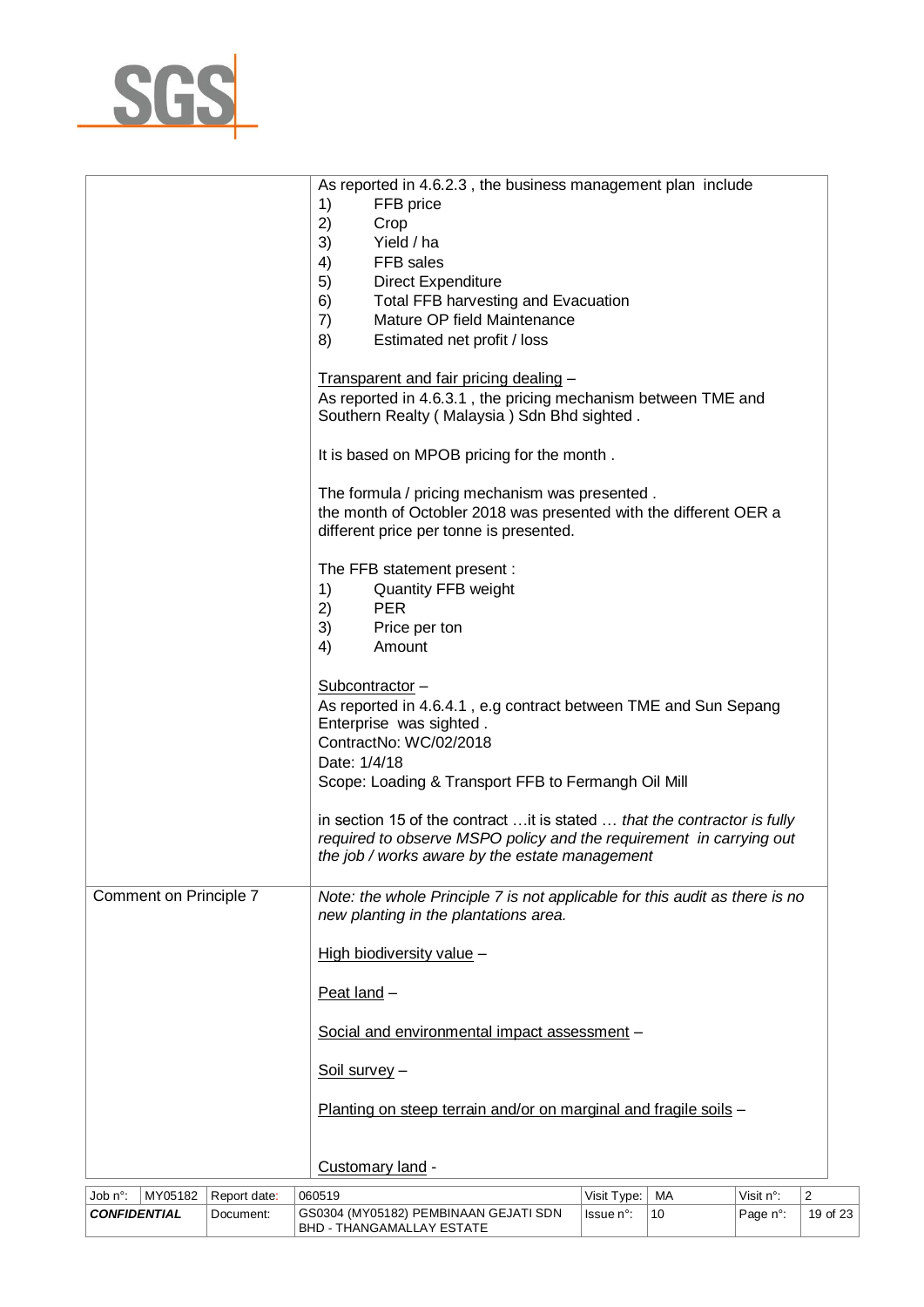

|                        |              | As reported in 4.6.2.3, the business management plan include<br>1)<br>FFB price<br>2)<br>Crop<br>Yield / ha<br>3)<br>FFB sales<br>4)<br><b>Direct Expenditure</b><br>5)<br>Total FFB harvesting and Evacuation<br>6)<br>Mature OP field Maintenance<br>7)<br>Estimated net profit / loss<br>8)<br>Transparent and fair pricing dealing -<br>As reported in 4.6.3.1, the pricing mechanism between TME and<br>Southern Realty (Malaysia) Sdn Bhd sighted. |                                                                                                                                                                                                    |    |           |                         |  |
|------------------------|--------------|----------------------------------------------------------------------------------------------------------------------------------------------------------------------------------------------------------------------------------------------------------------------------------------------------------------------------------------------------------------------------------------------------------------------------------------------------------|----------------------------------------------------------------------------------------------------------------------------------------------------------------------------------------------------|----|-----------|-------------------------|--|
|                        |              | It is based on MPOB pricing for the month.<br>The formula / pricing mechanism was presented.<br>the month of Octobler 2018 was presented with the different OER a<br>different price per tonne is presented.                                                                                                                                                                                                                                             |                                                                                                                                                                                                    |    |           |                         |  |
|                        |              | The FFB statement present :<br>1)<br>Quantity FFB weight<br>2)<br><b>PER</b><br>3)<br>Price per ton<br>4)<br>Amount                                                                                                                                                                                                                                                                                                                                      |                                                                                                                                                                                                    |    |           |                         |  |
|                        |              | Subcontractor-<br>As reported in 4.6.4.1, e.g contract between TME and Sun Sepang<br>Enterprise was sighted.<br>ContractNo: WC/02/2018<br>Date: 1/4/18<br>Scope: Loading & Transport FFB to Fermangh Oil Mill                                                                                                                                                                                                                                            |                                                                                                                                                                                                    |    |           |                         |  |
|                        |              |                                                                                                                                                                                                                                                                                                                                                                                                                                                          | in section 15 of the contract  it is stated  that the contractor is fully<br>required to observe MSPO policy and the requirement in carrying out<br>the job / works aware by the estate management |    |           |                         |  |
| Comment on Principle 7 |              | Note: the whole Principle 7 is not applicable for this audit as there is no<br>new planting in the plantations area.                                                                                                                                                                                                                                                                                                                                     |                                                                                                                                                                                                    |    |           |                         |  |
|                        |              | High biodiversity value -                                                                                                                                                                                                                                                                                                                                                                                                                                |                                                                                                                                                                                                    |    |           |                         |  |
|                        |              | Peat land -                                                                                                                                                                                                                                                                                                                                                                                                                                              |                                                                                                                                                                                                    |    |           |                         |  |
|                        |              | Social and environmental impact assessment -                                                                                                                                                                                                                                                                                                                                                                                                             |                                                                                                                                                                                                    |    |           |                         |  |
|                        |              | Soil survey -                                                                                                                                                                                                                                                                                                                                                                                                                                            |                                                                                                                                                                                                    |    |           |                         |  |
|                        |              | Planting on steep terrain and/or on marginal and fragile soils -                                                                                                                                                                                                                                                                                                                                                                                         |                                                                                                                                                                                                    |    |           |                         |  |
|                        |              | Customary land -                                                                                                                                                                                                                                                                                                                                                                                                                                         |                                                                                                                                                                                                    |    |           |                         |  |
| Job n°:<br>MY05182     | Report date: | 060519                                                                                                                                                                                                                                                                                                                                                                                                                                                   | Visit Type:                                                                                                                                                                                        | MA | Visit n°: | $\overline{\mathbf{c}}$ |  |
| <b>CONFIDENTIAL</b>    | Document:    | GS0304 (MY05182) PEMBINAAN GEJATI SDN                                                                                                                                                                                                                                                                                                                                                                                                                    | Issue n°:                                                                                                                                                                                          | 10 | Page n°:  | 19 of 23                |  |

BHD - THANGAMALLAY ESTATE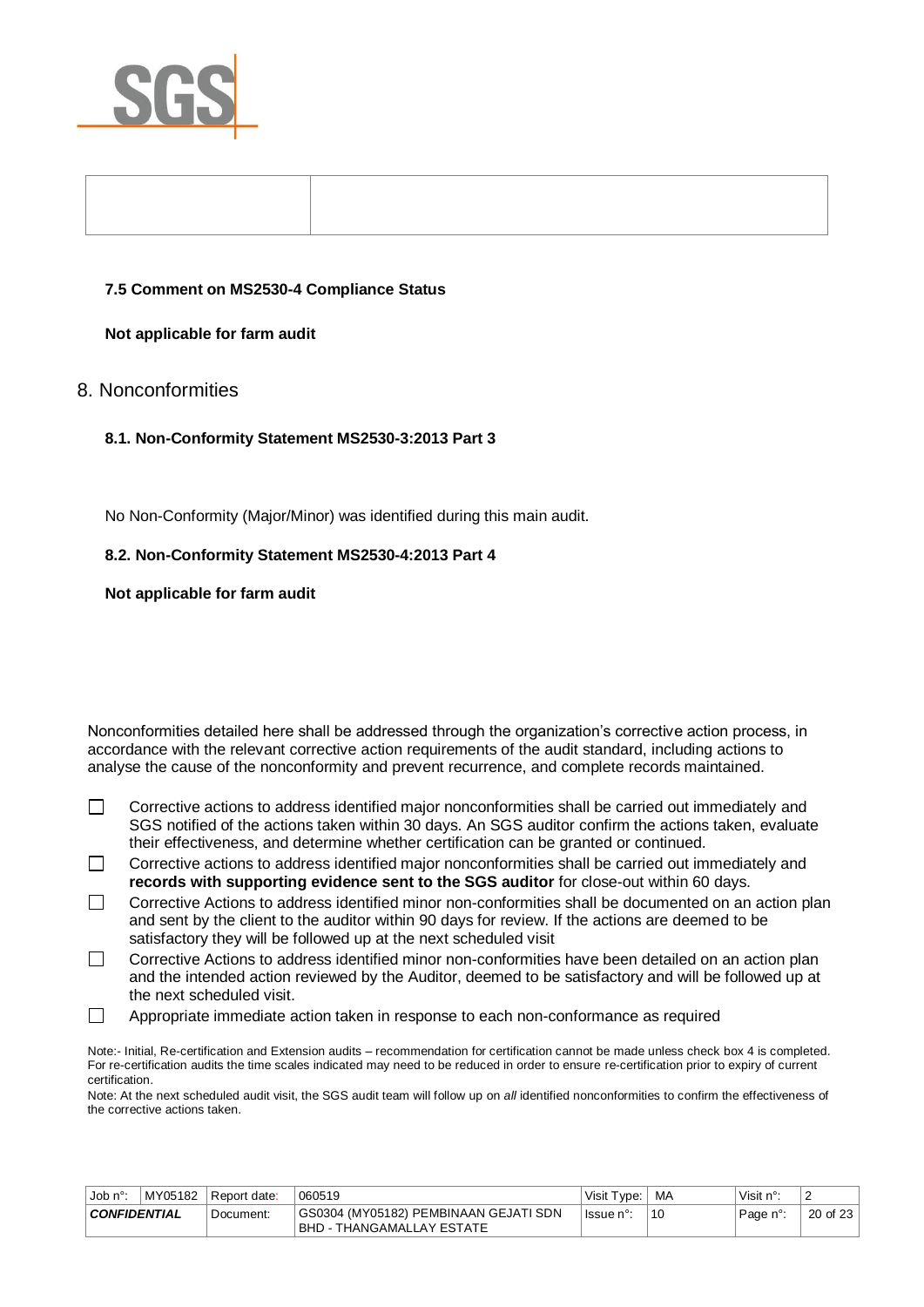

#### **7.5 Comment on MS2530-4 Compliance Status**

#### **Not applicable for farm audit**

# 8. Nonconformities

#### **8.1. Non-Conformity Statement MS2530-3:2013 Part 3**

No Non-Conformity (Major/Minor) was identified during this main audit.

#### **8.2. Non-Conformity Statement MS2530-4:2013 Part 4**

**Not applicable for farm audit** 

Nonconformities detailed here shall be addressed through the organization's corrective action process, in accordance with the relevant corrective action requirements of the audit standard, including actions to analyse the cause of the nonconformity and prevent recurrence, and complete records maintained.

- $\Box$ Corrective actions to address identified major nonconformities shall be carried out immediately and SGS notified of the actions taken within 30 days. An SGS auditor confirm the actions taken, evaluate their effectiveness, and determine whether certification can be granted or continued.
- $\Box$ Corrective actions to address identified major nonconformities shall be carried out immediately and **records with supporting evidence sent to the SGS auditor** for close-out within 60 days.
- $\Box$ Corrective Actions to address identified minor non-conformities shall be documented on an action plan and sent by the client to the auditor within 90 days for review. If the actions are deemed to be satisfactory they will be followed up at the next scheduled visit
- Corrective Actions to address identified minor non-conformities have been detailed on an action plan  $\Box$ and the intended action reviewed by the Auditor, deemed to be satisfactory and will be followed up at the next scheduled visit.
- $\Box$ Appropriate immediate action taken in response to each non-conformance as required

Note:- Initial, Re-certification and Extension audits – recommendation for certification cannot be made unless check box 4 is completed. For re-certification audits the time scales indicated may need to be reduced in order to ensure re-certification prior to expiry of current certification.

Note: At the next scheduled audit visit, the SGS audit team will follow up on *all* identified nonconformities to confirm the effectiveness of the corrective actions taken.

| Job $n^{\circ}$ .   | MY05182 | l Report date: | 060519                                                                     | Visit Type: | MA | Visit n°: | ∠        |
|---------------------|---------|----------------|----------------------------------------------------------------------------|-------------|----|-----------|----------|
| <b>CONFIDENTIAL</b> |         | Document:      | GS0304 (MY05182) PEMBINAAN GEJATI SDN<br><b>IBHD - THANGAMALLAY ESTATE</b> | l Issue n°  | 10 | Page n°:  | 20 of 23 |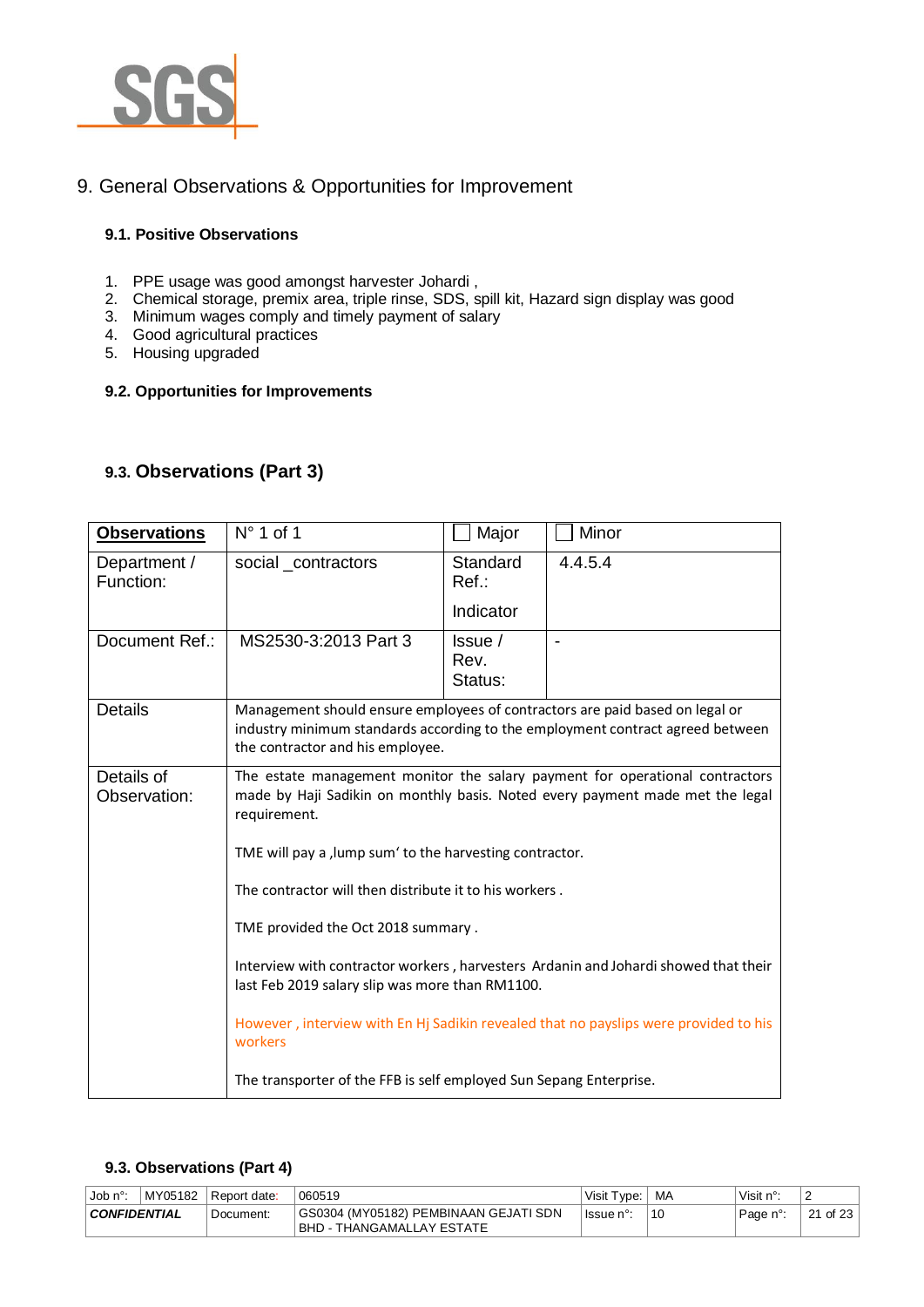

# 9. General Observations & Opportunities for Improvement

## **9.1. Positive Observations**

- 1. PPE usage was good amongst harvester Johardi ,
- 2. Chemical storage, premix area, triple rinse, SDS, spill kit, Hazard sign display was good
- 3. Minimum wages comply and timely payment of salary
- 4. Good agricultural practices
- 5. Housing upgraded

#### **9.2. Opportunities for Improvements**

# **9.3. Observations (Part 3)**

| <b>Observations</b>        | $N^{\circ}$ 1 of 1                                                                                                                                                                                 | Major                           | Minor   |  |
|----------------------------|----------------------------------------------------------------------------------------------------------------------------------------------------------------------------------------------------|---------------------------------|---------|--|
| Department /<br>Function:  | social_contractors                                                                                                                                                                                 | Standard<br>Ref:                | 4.4.5.4 |  |
|                            |                                                                                                                                                                                                    | Indicator                       |         |  |
| Document Ref.:             | MS2530-3:2013 Part 3                                                                                                                                                                               | $l$ ssue $l$<br>Rev.<br>Status: |         |  |
| <b>Details</b>             | Management should ensure employees of contractors are paid based on legal or<br>industry minimum standards according to the employment contract agreed between<br>the contractor and his employee. |                                 |         |  |
| Details of<br>Observation: | The estate management monitor the salary payment for operational contractors<br>made by Haji Sadikin on monthly basis. Noted every payment made met the legal<br>requirement.                      |                                 |         |  |
|                            | TME will pay a , lump sum' to the harvesting contractor.                                                                                                                                           |                                 |         |  |
|                            | The contractor will then distribute it to his workers.                                                                                                                                             |                                 |         |  |
|                            | TME provided the Oct 2018 summary.                                                                                                                                                                 |                                 |         |  |
|                            | Interview with contractor workers, harvesters Ardanin and Johardi showed that their<br>last Feb 2019 salary slip was more than RM1100.                                                             |                                 |         |  |
|                            | However, interview with En Hj Sadikin revealed that no payslips were provided to his<br>workers                                                                                                    |                                 |         |  |
|                            | The transporter of the FFB is self employed Sun Sepang Enterprise.                                                                                                                                 |                                 |         |  |

#### **9.3. Observations (Part 4)**

| Job n°:             | MY05182 Report date: | 060519                                                              | Visit Type: I | MA | Visit n°: | -                |
|---------------------|----------------------|---------------------------------------------------------------------|---------------|----|-----------|------------------|
| <b>CONFIDENTIAL</b> | ' Document:          | GS0304 (MY05182) PEMBINAAN GEJATI SDN<br> BHD - THANGAMALLAY ESTATE | lssue n°:     | 10 | Page n°:  | 21 of 23 $\vert$ |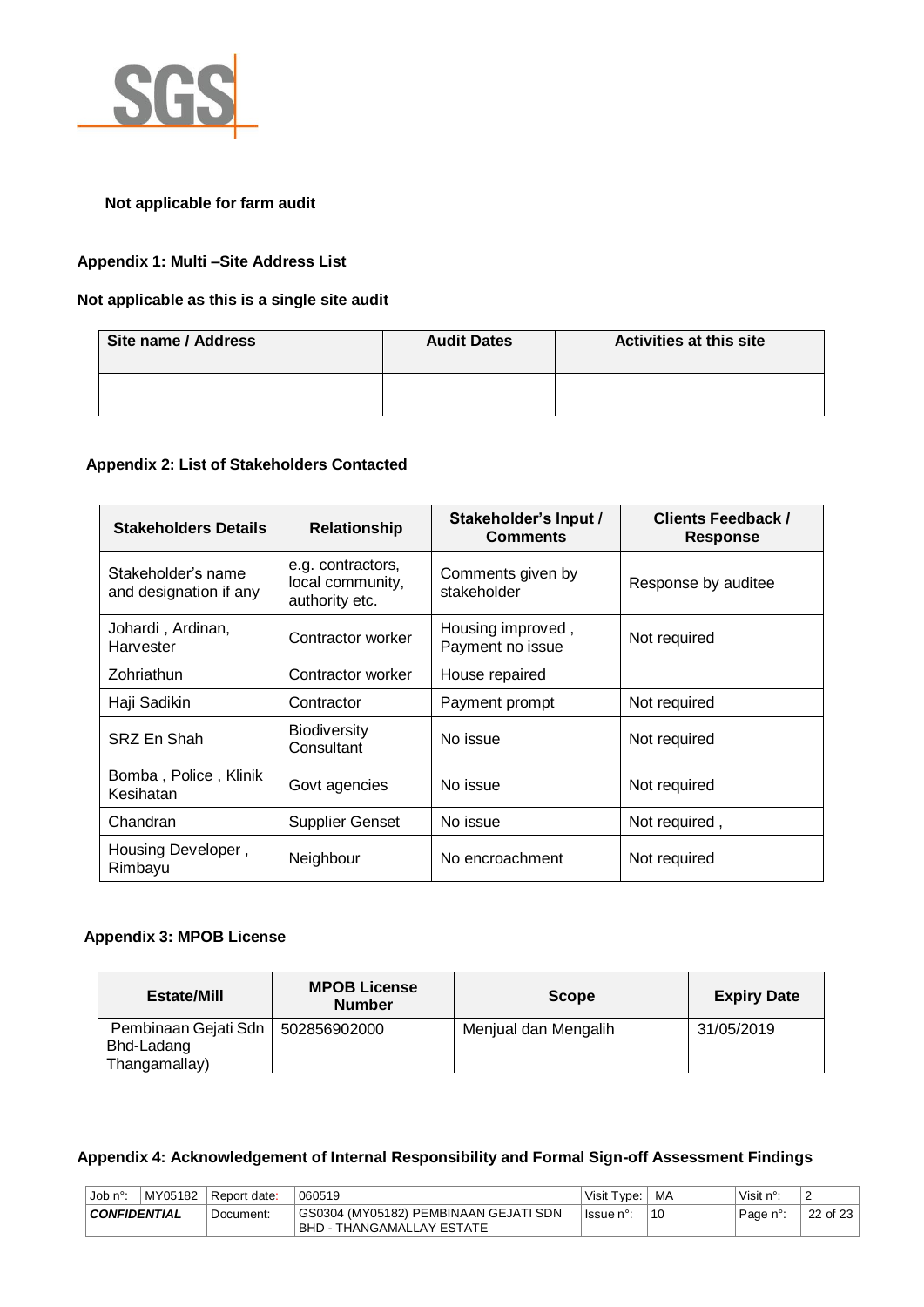

## **Not applicable for farm audit**

## **Appendix 1: Multi –Site Address List**

## **Not applicable as this is a single site audit**

| Site name / Address | <b>Audit Dates</b> | <b>Activities at this site</b> |
|---------------------|--------------------|--------------------------------|
|                     |                    |                                |

#### **Appendix 2: List of Stakeholders Contacted**

| <b>Stakeholders Details</b>                  | <b>Relationship</b>                                     | Stakeholder's Input /<br><b>Comments</b> | <b>Clients Feedback /</b><br><b>Response</b> |
|----------------------------------------------|---------------------------------------------------------|------------------------------------------|----------------------------------------------|
| Stakeholder's name<br>and designation if any | e.g. contractors,<br>local community,<br>authority etc. | Comments given by<br>stakeholder         | Response by auditee                          |
| Johardi, Ardinan,<br>Harvester               | Contractor worker                                       | Housing improved,<br>Payment no issue    | Not required                                 |
| Zohriathun                                   | Contractor worker                                       | House repaired                           |                                              |
| Haji Sadikin                                 | Contractor                                              | Payment prompt                           | Not required                                 |
| SRZ En Shah                                  | <b>Biodiversity</b><br>Consultant                       | No issue                                 | Not required                                 |
| Bomba, Police, Klinik<br>Kesihatan           | Govt agencies                                           | No issue                                 | Not required                                 |
| Chandran                                     | <b>Supplier Genset</b>                                  | No issue                                 | Not required,                                |
| Housing Developer,<br>Rimbayu                | Neighbour                                               | No encroachment                          | Not required                                 |

#### **Appendix 3: MPOB License**

| <b>Estate/Mill</b>                                  | <b>MPOB License</b><br><b>Number</b> | <b>Scope</b>         | <b>Expiry Date</b> |
|-----------------------------------------------------|--------------------------------------|----------------------|--------------------|
| Pembinaan Gejati Sdn<br>Bhd-Ladang<br>Thangamallay) | 502856902000                         | Menjual dan Mengalih | 31/05/2019         |

## **Appendix 4: Acknowledgement of Internal Responsibility and Formal Sign-off Assessment Findings**

| Job $n^{\circ}$ :   | MY05182 | Report date: | 060519                                                                    | Visit Type: | ` MA | Visit $n^{\circ}$ : |          |
|---------------------|---------|--------------|---------------------------------------------------------------------------|-------------|------|---------------------|----------|
| <b>CONFIDENTIAL</b> |         | Document:    | GS0304 (MY05182) PEMBINAAN GEJATI SDN<br><b>BHD - THANGAMALLAY ESTATE</b> | lssue n°:   | 10   | Page n°:            | 22 of 23 |